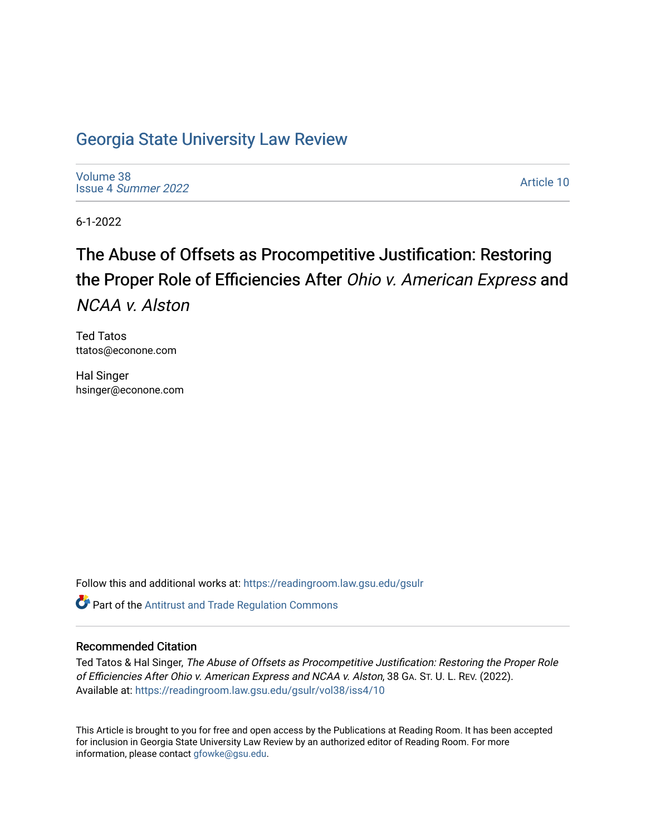## [Georgia State University Law Review](https://readingroom.law.gsu.edu/gsulr)

[Volume 38](https://readingroom.law.gsu.edu/gsulr/vol38) Issue 4 [Summer 2022](https://readingroom.law.gsu.edu/gsulr/vol38/iss4) 

[Article 10](https://readingroom.law.gsu.edu/gsulr/vol38/iss4/10) 

6-1-2022

# The Abuse of Offsets as Procompetitive Justification: Restoring the Proper Role of Efficiencies After Ohio v. American Express and NCAA v. Alston

Ted Tatos ttatos@econone.com

Hal Singer hsinger@econone.com

Follow this and additional works at: [https://readingroom.law.gsu.edu/gsulr](https://readingroom.law.gsu.edu/gsulr?utm_source=readingroom.law.gsu.edu%2Fgsulr%2Fvol38%2Fiss4%2F10&utm_medium=PDF&utm_campaign=PDFCoverPages) 

**Part of the Antitrust and Trade Regulation Commons** 

## Recommended Citation

Ted Tatos & Hal Singer, The Abuse of Offsets as Procompetitive Justification: Restoring the Proper Role of Efficiencies After Ohio v. American Express and NCAA v. Alston, 38 GA. ST. U. L. REV. (2022). Available at: [https://readingroom.law.gsu.edu/gsulr/vol38/iss4/10](https://readingroom.law.gsu.edu/gsulr/vol38/iss4/10?utm_source=readingroom.law.gsu.edu%2Fgsulr%2Fvol38%2Fiss4%2F10&utm_medium=PDF&utm_campaign=PDFCoverPages) 

This Article is brought to you for free and open access by the Publications at Reading Room. It has been accepted for inclusion in Georgia State University Law Review by an authorized editor of Reading Room. For more information, please contact [gfowke@gsu.edu.](mailto:gfowke@gsu.edu)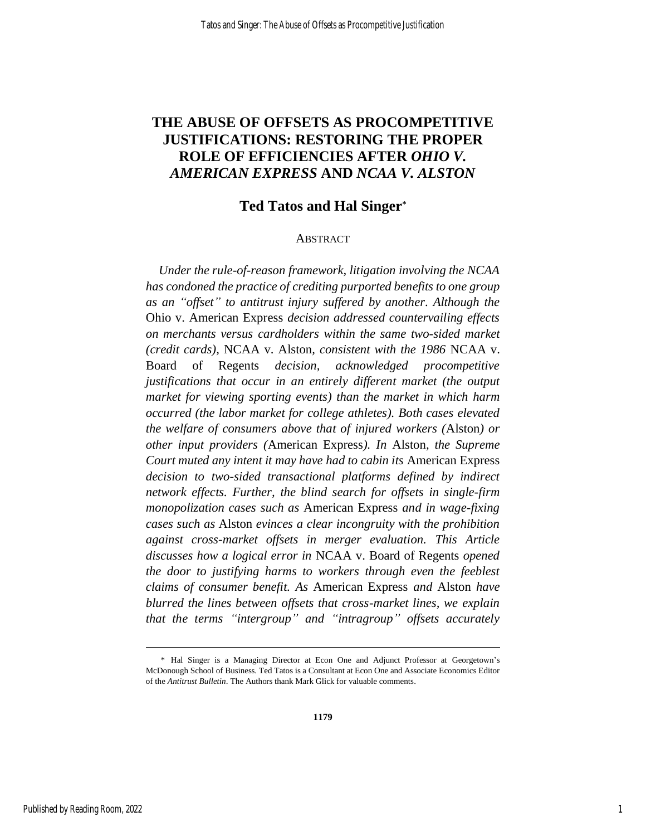## **THE ABUSE OF OFFSETS AS PROCOMPETITIVE JUSTIFICATIONS: RESTORING THE PROPER ROLE OF EFFICIENCIES AFTER** *OHIO V. AMERICAN EXPRESS* **AND** *NCAA V. ALSTON*

## **Ted Tatos and Hal Singer\***

#### ABSTRACT

*Under the rule-of-reason framework, litigation involving the NCAA has condoned the practice of crediting purported benefits to one group as an "offset" to antitrust injury suffered by another. Although the*  Ohio v. American Express *decision addressed countervailing effects on merchants versus cardholders within the same two-sided market (credit cards),* NCAA v. Alston*, consistent with the 1986* NCAA v. Board of Regents *decision, acknowledged procompetitive justifications that occur in an entirely different market (the output market for viewing sporting events) than the market in which harm occurred (the labor market for college athletes). Both cases elevated the welfare of consumers above that of injured workers (*Alston*) or other input providers (*American Express*). In* Alston*, the Supreme Court muted any intent it may have had to cabin its* American Express *decision to two-sided transactional platforms defined by indirect network effects. Further, the blind search for offsets in single-firm monopolization cases such as* American Express *and in wage-fixing cases such as* Alston *evinces a clear incongruity with the prohibition against cross-market offsets in merger evaluation. This Article discusses how a logical error in* NCAA v. Board of Regents *opened the door to justifying harms to workers through even the feeblest claims of consumer benefit. As* American Express *and* Alston *have blurred the lines between offsets that cross-market lines, we explain that the terms "intergroup" and "intragroup" offsets accurately* 

<sup>\*</sup> Hal Singer is a Managing Director at Econ One and Adjunct Professor at Georgetown's McDonough School of Business. Ted Tatos is a Consultant at Econ One and Associate Economics Editor of the *Antitrust Bulletin*. The Authors thank Mark Glick for valuable comments.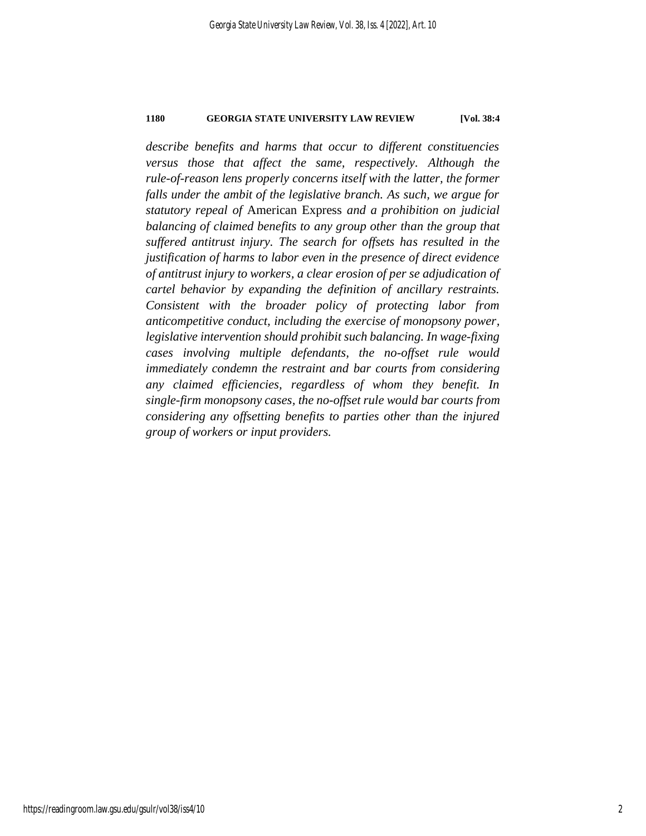*describe benefits and harms that occur to different constituencies versus those that affect the same, respectively. Although the rule-of-reason lens properly concerns itself with the latter, the former falls under the ambit of the legislative branch. As such, we argue for statutory repeal of* American Express *and a prohibition on judicial balancing of claimed benefits to any group other than the group that suffered antitrust injury. The search for offsets has resulted in the justification of harms to labor even in the presence of direct evidence of antitrust injury to workers, a clear erosion of per se adjudication of cartel behavior by expanding the definition of ancillary restraints. Consistent with the broader policy of protecting labor from anticompetitive conduct, including the exercise of monopsony power, legislative intervention should prohibit such balancing. In wage-fixing cases involving multiple defendants, the no-offset rule would immediately condemn the restraint and bar courts from considering any claimed efficiencies, regardless of whom they benefit. In single-firm monopsony cases, the no-offset rule would bar courts from considering any offsetting benefits to parties other than the injured group of workers or input providers.*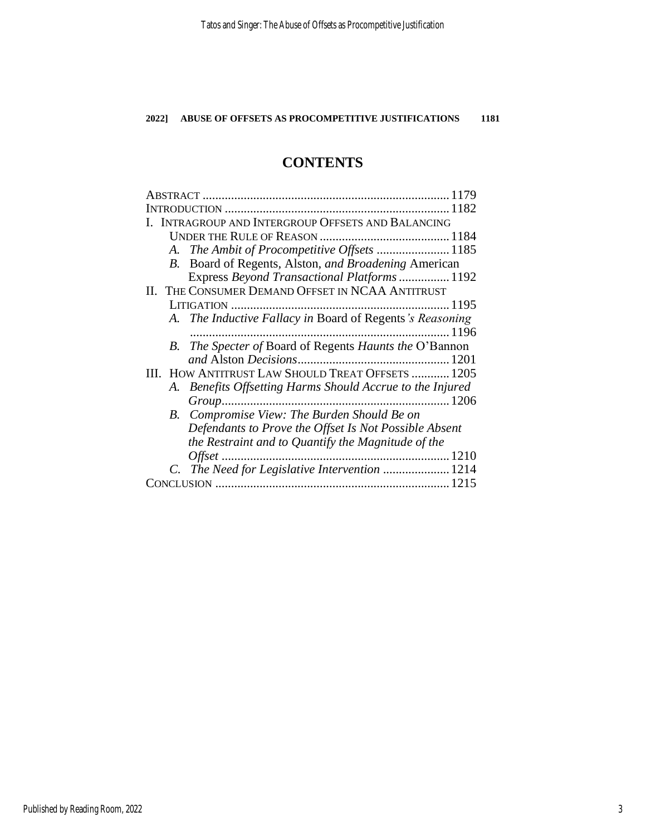## **CONTENTS**

| 1179                                                      |
|-----------------------------------------------------------|
|                                                           |
| INTRAGROUP AND INTERGROUP OFFSETS AND BALANCING           |
|                                                           |
| A. The Ambit of Procompetitive Offsets  1185              |
| B. Board of Regents, Alston, and Broadening American      |
| Express Beyond Transactional Platforms 1192               |
| II. THE CONSUMER DEMAND OFFSET IN NCAA ANTITRUST          |
|                                                           |
| A. The Inductive Fallacy in Board of Regents's Reasoning  |
|                                                           |
| B. The Specter of Board of Regents Haunts the O'Bannon    |
|                                                           |
| III. HOW ANTITRUST LAW SHOULD TREAT OFFSETS  1205         |
| A. Benefits Offsetting Harms Should Accrue to the Injured |
|                                                           |
| B. Compromise View: The Burden Should Be on               |
| Defendants to Prove the Offset Is Not Possible Absent     |
| the Restraint and to Quantify the Magnitude of the        |
| 1210                                                      |
| C. The Need for Legislative Intervention  1214            |
| CONCLUSION                                                |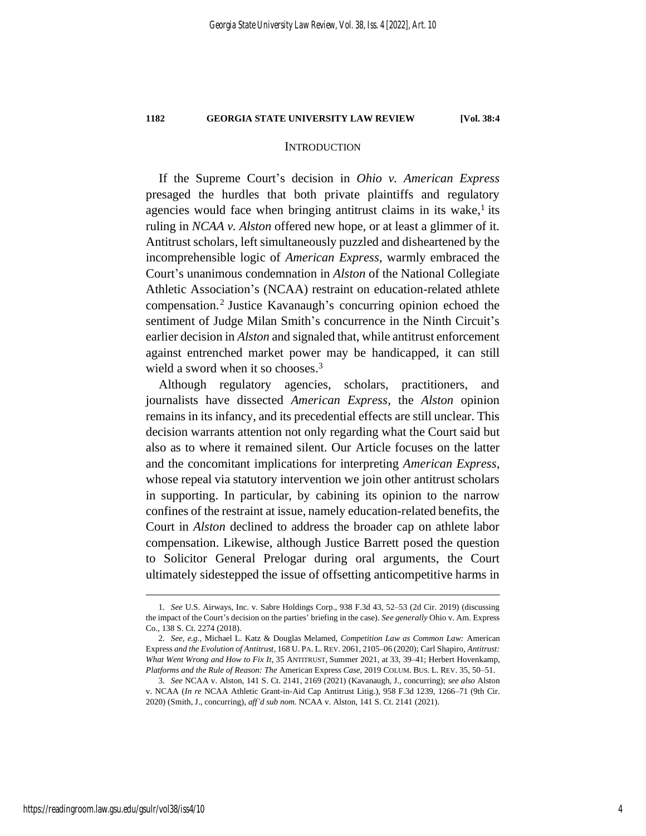## **INTRODUCTION**

If the Supreme Court's decision in *Ohio v. American Express* presaged the hurdles that both private plaintiffs and regulatory agencies would face when bringing antitrust claims in its wake, $<sup>1</sup>$  its</sup> ruling in *NCAA v. Alston* offered new hope, or at least a glimmer of it. Antitrust scholars, left simultaneously puzzled and disheartened by the incomprehensible logic of *American Express*, warmly embraced the Court's unanimous condemnation in *Alston* of the National Collegiate Athletic Association's (NCAA) restraint on education-related athlete compensation.<sup>2</sup> Justice Kavanaugh's concurring opinion echoed the sentiment of Judge Milan Smith's concurrence in the Ninth Circuit's earlier decision in *Alston* and signaled that, while antitrust enforcement against entrenched market power may be handicapped, it can still wield a sword when it so chooses. 3

Although regulatory agencies, scholars, practitioners, and journalists have dissected *American Express*, the *Alston* opinion remains in its infancy, and its precedential effects are still unclear. This decision warrants attention not only regarding what the Court said but also as to where it remained silent. Our Article focuses on the latter and the concomitant implications for interpreting *American Express*, whose repeal via statutory intervention we join other antitrust scholars in supporting. In particular, by cabining its opinion to the narrow confines of the restraint at issue, namely education-related benefits, the Court in *Alston* declined to address the broader cap on athlete labor compensation. Likewise, although Justice Barrett posed the question to Solicitor General Prelogar during oral arguments, the Court ultimately sidestepped the issue of offsetting anticompetitive harms in

<sup>1</sup>*. See* U.S. Airways, Inc. v. Sabre Holdings Corp., 938 F.3d 43, 52–53 (2d Cir. 2019) (discussing the impact of the Court's decision on the parties' briefing in the case). *See generally* Ohio v. Am. Express Co., 138 S. Ct. 2274 (2018).

<sup>2</sup>*. See, e.g.*, Michael L. Katz & Douglas Melamed, *Competition Law as Common Law:* American Express *and the Evolution of Antitrust*, 168 U. PA. L. REV. 2061, 2105–06 (2020); Carl Shapiro, *Antitrust: What Went Wrong and How to Fix It*, 35 ANTITRUST, Summer 2021, at 33, 39–41; Herbert Hovenkamp, *Platforms and the Rule of Reason: The* American Express *Case*, 2019 COLUM. BUS. L. REV. 35, 50–51.

<sup>3</sup>*. See* NCAA v. Alston, 141 S. Ct. 2141, 2169 (2021) (Kavanaugh, J., concurring); *see also* Alston v. NCAA (*In re* NCAA Athletic Grant-in-Aid Cap Antitrust Litig.), 958 F.3d 1239, 1266–71 (9th Cir. 2020) (Smith, J., concurring), *aff'd sub nom.* NCAA v. Alston, 141 S. Ct. 2141 (2021).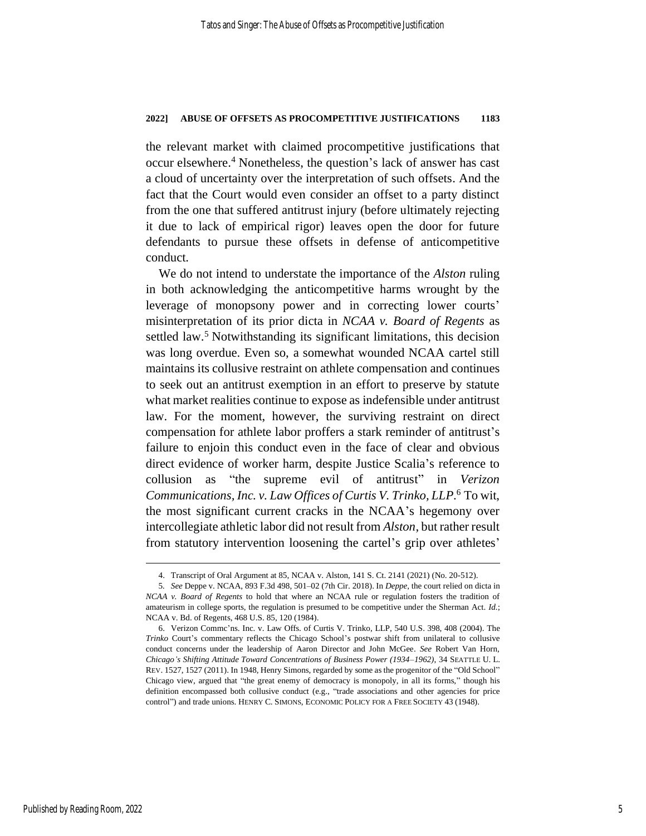the relevant market with claimed procompetitive justifications that occur elsewhere. <sup>4</sup> Nonetheless, the question's lack of answer has cast a cloud of uncertainty over the interpretation of such offsets. And the fact that the Court would even consider an offset to a party distinct from the one that suffered antitrust injury (before ultimately rejecting it due to lack of empirical rigor) leaves open the door for future defendants to pursue these offsets in defense of anticompetitive conduct.

We do not intend to understate the importance of the *Alston* ruling in both acknowledging the anticompetitive harms wrought by the leverage of monopsony power and in correcting lower courts' misinterpretation of its prior dicta in *NCAA v. Board of Regents* as settled law.<sup>5</sup> Notwithstanding its significant limitations, this decision was long overdue. Even so, a somewhat wounded NCAA cartel still maintains its collusive restraint on athlete compensation and continues to seek out an antitrust exemption in an effort to preserve by statute what market realities continue to expose as indefensible under antitrust law. For the moment, however, the surviving restraint on direct compensation for athlete labor proffers a stark reminder of antitrust's failure to enjoin this conduct even in the face of clear and obvious direct evidence of worker harm, despite Justice Scalia's reference to collusion as "the supreme evil of antitrust" in *Verizon Communications, Inc. v. Law Offices of Curtis V. Trinko, LLP*. <sup>6</sup> To wit, the most significant current cracks in the NCAA's hegemony over intercollegiate athletic labor did not result from *Alston*, but rather result from statutory intervention loosening the cartel's grip over athletes'

<sup>4.</sup> Transcript of Oral Argument at 85, NCAA v. Alston, 141 S. Ct. 2141 (2021) (No. 20-512).

<sup>5</sup>*. See* Deppe v. NCAA, 893 F.3d 498, 501–02 (7th Cir. 2018). In *Deppe*, the court relied on dicta in *NCAA v. Board of Regents* to hold that where an NCAA rule or regulation fosters the tradition of amateurism in college sports, the regulation is presumed to be competitive under the Sherman Act. *Id.*; NCAA v. Bd. of Regents, 468 U.S. 85, 120 (1984).

<sup>6.</sup> Verizon Commc'ns. Inc. v. Law Offs. of Curtis V. Trinko, LLP, 540 U.S. 398, 408 (2004). The *Trinko* Court's commentary reflects the Chicago School's postwar shift from unilateral to collusive conduct concerns under the leadership of Aaron Director and John McGee. *See* Robert Van Horn, *Chicago's Shifting Attitude Toward Concentrations of Business Power (1934–1962)*, 34 SEATTLE U. L. REV. 1527, 1527 (2011). In 1948, Henry Simons, regarded by some as the progenitor of the "Old School" Chicago view, argued that "the great enemy of democracy is monopoly, in all its forms," though his definition encompassed both collusive conduct (e.g., "trade associations and other agencies for price control") and trade unions. HENRY C. SIMONS, ECONOMIC POLICY FOR A FREE SOCIETY 43 (1948).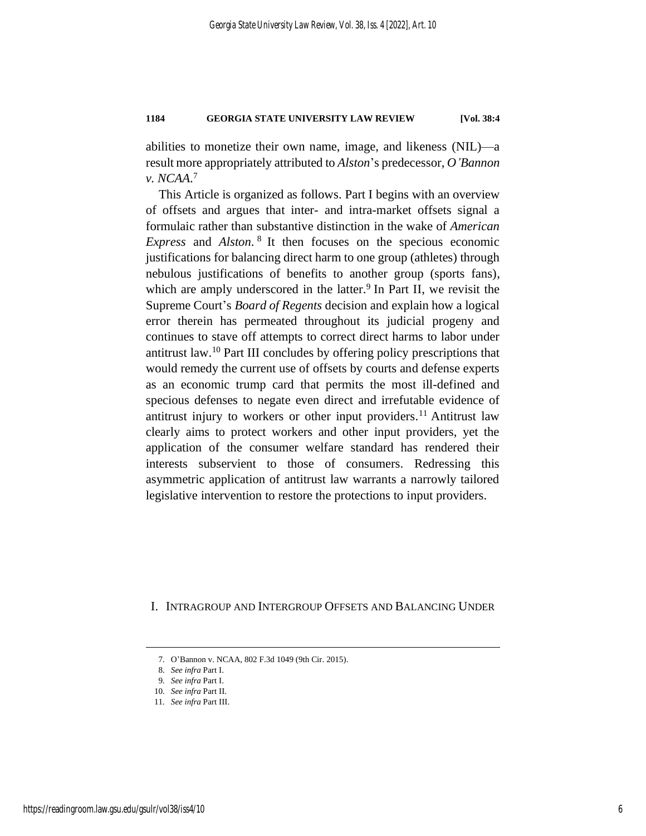abilities to monetize their own name, image, and likeness (NIL)—a result more appropriately attributed to *Alston*'s predecessor, *O'Bannon v. NCAA*. 7

This Article is organized as follows. Part I begins with an overview of offsets and argues that inter- and intra-market offsets signal a formulaic rather than substantive distinction in the wake of *American Express* and *Alston*. 8 It then focuses on the specious economic justifications for balancing direct harm to one group (athletes) through nebulous justifications of benefits to another group (sports fans), which are amply underscored in the latter.<sup>9</sup> In Part II, we revisit the Supreme Court's *Board of Regents* decision and explain how a logical error therein has permeated throughout its judicial progeny and continues to stave off attempts to correct direct harms to labor under antitrust law.<sup>10</sup> Part III concludes by offering policy prescriptions that would remedy the current use of offsets by courts and defense experts as an economic trump card that permits the most ill-defined and specious defenses to negate even direct and irrefutable evidence of antitrust injury to workers or other input providers. <sup>11</sup> Antitrust law clearly aims to protect workers and other input providers, yet the application of the consumer welfare standard has rendered their interests subservient to those of consumers. Redressing this asymmetric application of antitrust law warrants a narrowly tailored legislative intervention to restore the protections to input providers.

I. INTRAGROUP AND INTERGROUP OFFSETS AND BALANCING UNDER

<sup>7</sup>*.* O'Bannon v. NCAA, 802 F.3d 1049 (9th Cir. 2015).

<sup>8</sup>*. See infra* Part I.

<sup>9</sup>*. See infra* Part I.

<sup>10</sup>*. See infra* Part II.

<sup>11</sup>*. See infra* Part III.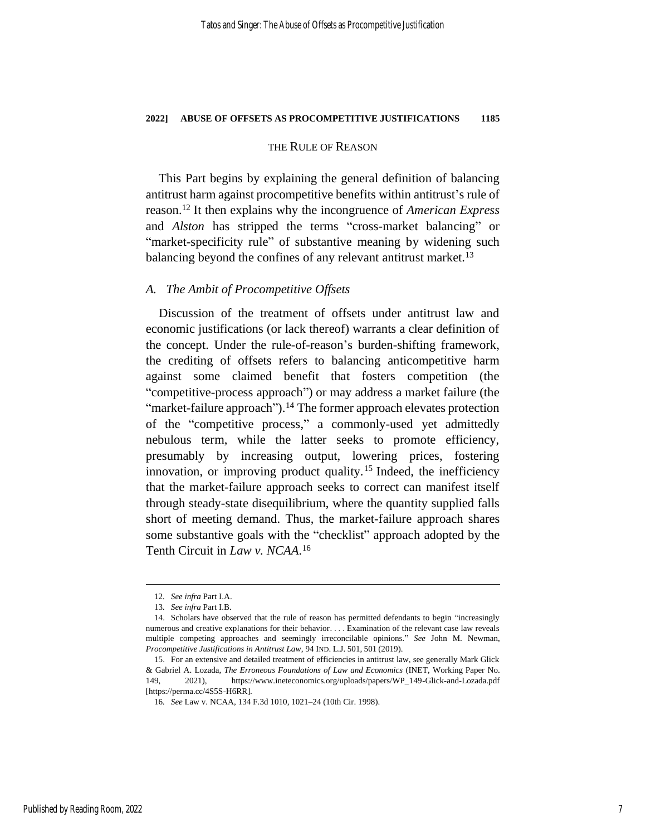#### THE RULE OF REASON

This Part begins by explaining the general definition of balancing antitrust harm against procompetitive benefits within antitrust's rule of reason. <sup>12</sup> It then explains why the incongruence of *American Express* and *Alston* has stripped the terms "cross-market balancing" or "market-specificity rule" of substantive meaning by widening such balancing beyond the confines of any relevant antitrust market.<sup>13</sup>

### *A. The Ambit of Procompetitive Offsets*

Discussion of the treatment of offsets under antitrust law and economic justifications (or lack thereof) warrants a clear definition of the concept. Under the rule-of-reason's burden-shifting framework, the crediting of offsets refers to balancing anticompetitive harm against some claimed benefit that fosters competition (the "competitive-process approach") or may address a market failure (the "market-failure approach").<sup>14</sup> The former approach elevates protection of the "competitive process," a commonly-used yet admittedly nebulous term, while the latter seeks to promote efficiency, presumably by increasing output, lowering prices, fostering innovation, or improving product quality.<sup>15</sup> Indeed, the inefficiency that the market-failure approach seeks to correct can manifest itself through steady-state disequilibrium, where the quantity supplied falls short of meeting demand. Thus, the market-failure approach shares some substantive goals with the "checklist" approach adopted by the Tenth Circuit in *Law v. NCAA*. 16

<span id="page-7-0"></span><sup>12</sup>*. See infra* Part I.A.

<sup>13</sup>*. See infra* Part I.B.

<sup>14.</sup> Scholars have observed that the rule of reason has permitted defendants to begin "increasingly numerous and creative explanations for their behavior. . . . Examination of the relevant case law reveals multiple competing approaches and seemingly irreconcilable opinions." *See* John M. Newman, *Procompetitive Justifications in Antitrust Law*, 94 IND. L.J. 501, 501 (2019).

<sup>15.</sup> For an extensive and detailed treatment of efficiencies in antitrust law, see generally Mark Glick & Gabriel A. Lozada, *The Erroneous Foundations of Law and Economics* (INET, Working Paper No. 149, 2021), https://www.ineteconomics.org/uploads/papers/WP\_149-Glick-and-Lozada.pdf [https://perma.cc/4S5S-H6RR].

<sup>16</sup>*. See* Law v. NCAA, 134 F.3d 1010, 1021–24 (10th Cir. 1998).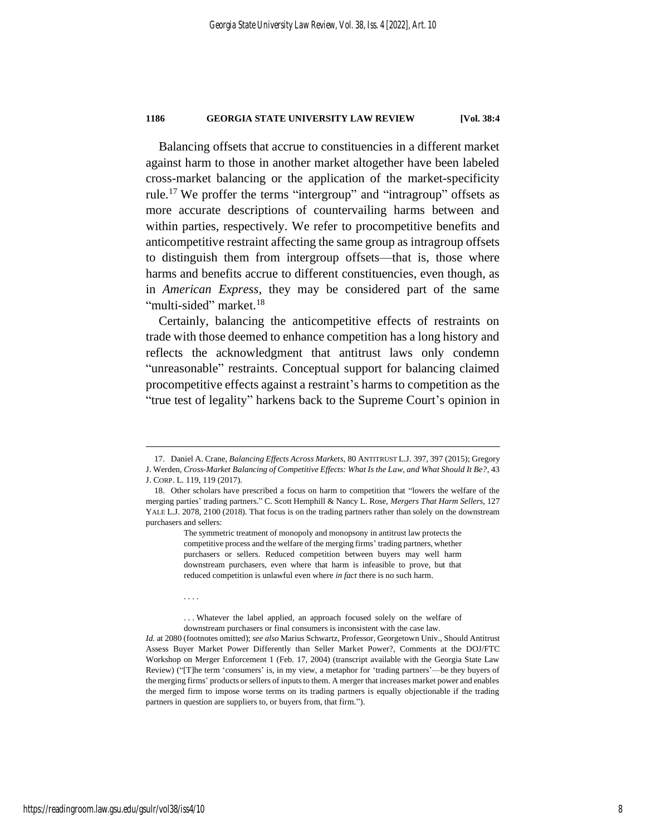<span id="page-8-1"></span>Balancing offsets that accrue to constituencies in a different market against harm to those in another market altogether have been labeled cross-market balancing or the application of the market-specificity rule.<sup>17</sup> We proffer the terms "intergroup" and "intragroup" offsets as more accurate descriptions of countervailing harms between and within parties, respectively. We refer to procompetitive benefits and anticompetitive restraint affecting the same group as intragroup offsets to distinguish them from intergroup offsets—that is, those where harms and benefits accrue to different constituencies, even though, as in *American Express*, they may be considered part of the same "multi-sided" market.<sup>18</sup>

<span id="page-8-0"></span>Certainly, balancing the anticompetitive effects of restraints on trade with those deemed to enhance competition has a long history and reflects the acknowledgment that antitrust laws only condemn "unreasonable" restraints. Conceptual support for balancing claimed procompetitive effects against a restraint's harms to competition as the "true test of legality" harkens back to the Supreme Court's opinion in

. . . Whatever the label applied, an approach focused solely on the welfare of downstream purchasers or final consumers is inconsistent with the case law.

. . . .

<sup>17.</sup> Daniel A. Crane, *Balancing Effects Across Markets*, 80 ANTITRUST L.J. 397, 397 (2015); Gregory J. Werden, *Cross-Market Balancing of Competitive Effects: What Is the Law, and What Should It Be?*, 43 J. CORP. L. 119, 119 (2017).

<sup>18.</sup> Other scholars have prescribed a focus on harm to competition that "lowers the welfare of the merging parties' trading partners." C. Scott Hemphill & Nancy L. Rose, *Mergers That Harm Sellers*, 127 YALE L.J. 2078, 2100 (2018). That focus is on the trading partners rather than solely on the downstream purchasers and sellers:

The symmetric treatment of monopoly and monopsony in antitrust law protects the competitive process and the welfare of the merging firms' trading partners, whether purchasers or sellers. Reduced competition between buyers may well harm downstream purchasers, even where that harm is infeasible to prove, but that reduced competition is unlawful even where *in fact* there is no such harm.

*Id.* at 2080 (footnotes omitted); *see also* Marius Schwartz, Professor, Georgetown Univ., Should Antitrust Assess Buyer Market Power Differently than Seller Market Power?, Comments at the DOJ/FTC Workshop on Merger Enforcement 1 (Feb. 17, 2004) (transcript available with the Georgia State Law Review) ("[T]he term 'consumers' is, in my view, a metaphor for 'trading partners'—be they buyers of the merging firms' products or sellers of inputs to them. A merger that increases market power and enables the merged firm to impose worse terms on its trading partners is equally objectionable if the trading partners in question are suppliers to, or buyers from, that firm.").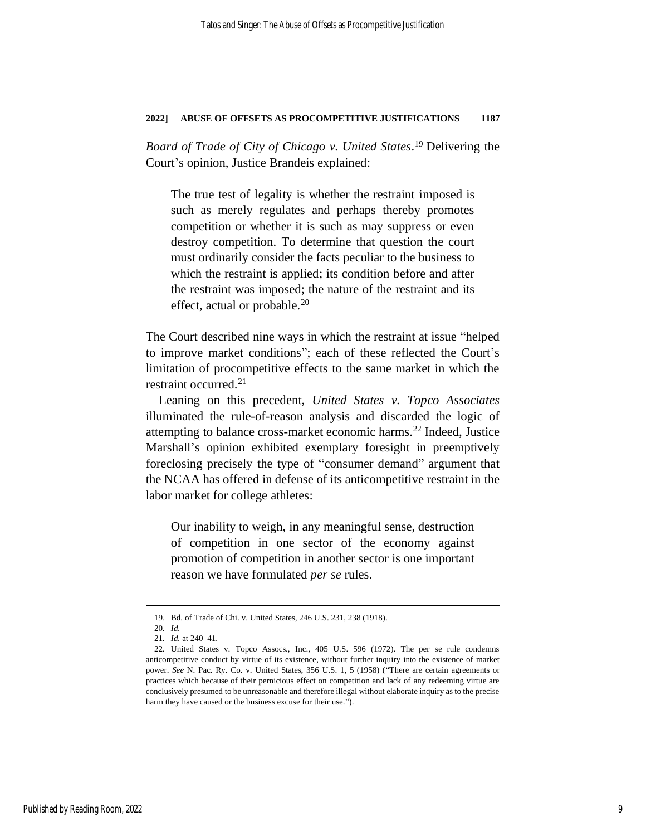*Board of Trade of City of Chicago v. United States*. <sup>19</sup> Delivering the Court's opinion, Justice Brandeis explained:

The true test of legality is whether the restraint imposed is such as merely regulates and perhaps thereby promotes competition or whether it is such as may suppress or even destroy competition. To determine that question the court must ordinarily consider the facts peculiar to the business to which the restraint is applied; its condition before and after the restraint was imposed; the nature of the restraint and its effect, actual or probable.<sup>20</sup>

The Court described nine ways in which the restraint at issue "helped to improve market conditions"; each of these reflected the Court's limitation of procompetitive effects to the same market in which the restraint occurred.<sup>21</sup>

Leaning on this precedent, *United States v. Topco Associates* illuminated the rule-of-reason analysis and discarded the logic of attempting to balance cross-market economic harms.<sup>22</sup> Indeed, Justice Marshall's opinion exhibited exemplary foresight in preemptively foreclosing precisely the type of "consumer demand" argument that the NCAA has offered in defense of its anticompetitive restraint in the labor market for college athletes:

Our inability to weigh, in any meaningful sense, destruction of competition in one sector of the economy against promotion of competition in another sector is one important reason we have formulated *per se* rules.

<sup>19.</sup> Bd. of Trade of Chi. v. United States, 246 U.S. 231, 238 (1918).

<sup>20</sup>*. Id.*

<sup>21</sup>*. Id.* at 240–41.

<sup>22</sup>*.* United States v. Topco Assocs., Inc., 405 U.S. 596 (1972). The per se rule condemns anticompetitive conduct by virtue of its existence, without further inquiry into the existence of market power. *See* N. Pac. Ry. Co. v. United States, 356 U.S. 1, 5 (1958) ("There are certain agreements or practices which because of their pernicious effect on competition and lack of any redeeming virtue are conclusively presumed to be unreasonable and therefore illegal without elaborate inquiry as to the precise harm they have caused or the business excuse for their use.").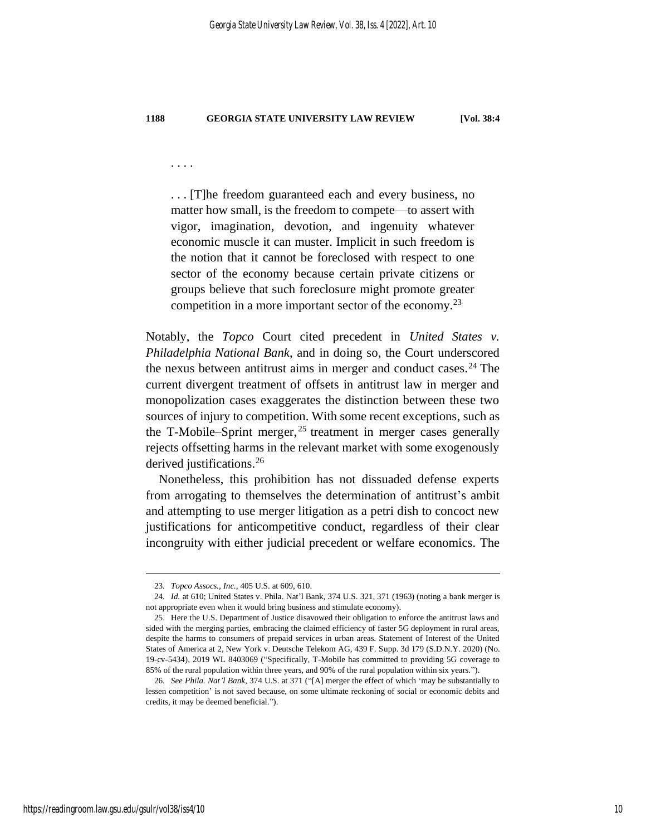. . . .

. . . [T]he freedom guaranteed each and every business, no matter how small, is the freedom to compete—to assert with vigor, imagination, devotion, and ingenuity whatever economic muscle it can muster. Implicit in such freedom is the notion that it cannot be foreclosed with respect to one sector of the economy because certain private citizens or groups believe that such foreclosure might promote greater competition in a more important sector of the economy.<sup>23</sup>

Notably, the *Topco* Court cited precedent in *United States v. Philadelphia National Bank*, and in doing so, the Court underscored the nexus between antitrust aims in merger and conduct cases. $24$  The current divergent treatment of offsets in antitrust law in merger and monopolization cases exaggerates the distinction between these two sources of injury to competition. With some recent exceptions, such as the T-Mobile–Sprint merger,  $25$  treatment in merger cases generally rejects offsetting harms in the relevant market with some exogenously derived justifications.<sup>26</sup>

Nonetheless, this prohibition has not dissuaded defense experts from arrogating to themselves the determination of antitrust's ambit and attempting to use merger litigation as a petri dish to concoct new justifications for anticompetitive conduct, regardless of their clear incongruity with either judicial precedent or welfare economics. The

<sup>23</sup>*. Topco Assocs., Inc.*, 405 U.S. at 609, 610.

<sup>24</sup>*. Id.* at 610; United States v. Phila. Nat'l Bank, 374 U.S. 321, 371 (1963) (noting a bank merger is not appropriate even when it would bring business and stimulate economy).

<sup>25.</sup> Here the U.S. Department of Justice disavowed their obligation to enforce the antitrust laws and sided with the merging parties, embracing the claimed efficiency of faster 5G deployment in rural areas, despite the harms to consumers of prepaid services in urban areas. Statement of Interest of the United States of America at 2, New York v. Deutsche Telekom AG, 439 F. Supp. 3d 179 (S.D.N.Y. 2020) (No. 19-cv-5434), 2019 WL 8403069 ("Specifically, T-Mobile has committed to providing 5G coverage to 85% of the rural population within three years, and 90% of the rural population within six years.").

<sup>26</sup>*. See Phila. Nat'l Bank*, 374 U.S. at 371 ("[A] merger the effect of which 'may be substantially to lessen competition' is not saved because, on some ultimate reckoning of social or economic debits and credits, it may be deemed beneficial.").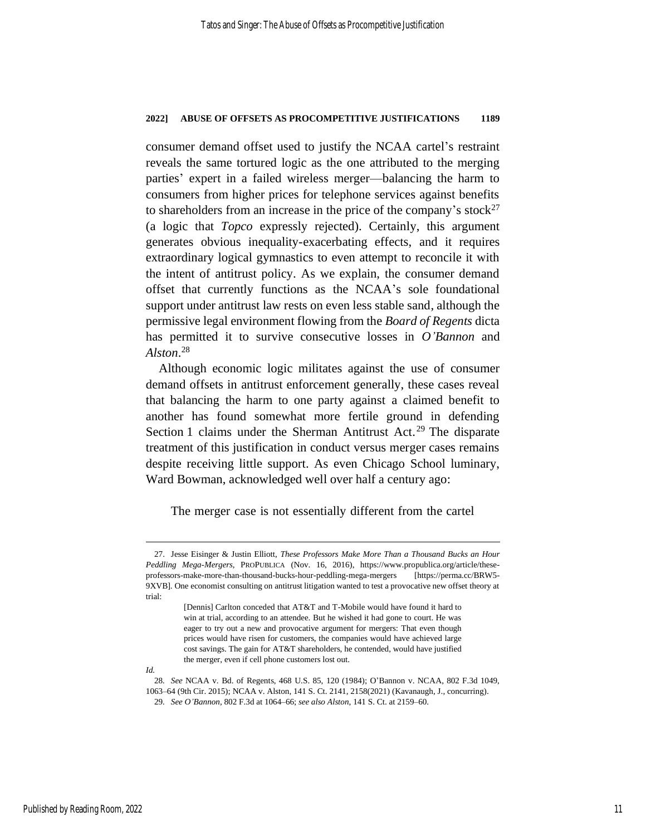consumer demand offset used to justify the NCAA cartel's restraint reveals the same tortured logic as the one attributed to the merging parties' expert in a failed wireless merger—balancing the harm to consumers from higher prices for telephone services against benefits to shareholders from an increase in the price of the company's stock<sup>27</sup> (a logic that *Topco* expressly rejected). Certainly, this argument generates obvious inequality-exacerbating effects, and it requires extraordinary logical gymnastics to even attempt to reconcile it with the intent of antitrust policy. As we explain, the consumer demand offset that currently functions as the NCAA's sole foundational support under antitrust law rests on even less stable sand, although the permissive legal environment flowing from the *Board of Regents* dicta has permitted it to survive consecutive losses in *O'Bannon* and *Alston*. 28

Although economic logic militates against the use of consumer demand offsets in antitrust enforcement generally, these cases reveal that balancing the harm to one party against a claimed benefit to another has found somewhat more fertile ground in defending Section 1 claims under the Sherman Antitrust Act.<sup>29</sup> The disparate treatment of this justification in conduct versus merger cases remains despite receiving little support. As even Chicago School luminary, Ward Bowman, acknowledged well over half a century ago:

The merger case is not essentially different from the cartel

*Id.*

<sup>27.</sup> Jesse Eisinger & Justin Elliott, *These Professors Make More Than a Thousand Bucks an Hour Peddling Mega-Mergers*, PROPUBLICA (Nov. 16, 2016), https://www.propublica.org/article/theseprofessors-make-more-than-thousand-bucks-hour-peddling-mega-mergers [https://perma.cc/BRW5- 9XVB]. One economist consulting on antitrust litigation wanted to test a provocative new offset theory at trial:

<sup>[</sup>Dennis] Carlton conceded that AT&T and T-Mobile would have found it hard to win at trial, according to an attendee. But he wished it had gone to court. He was eager to try out a new and provocative argument for mergers: That even though prices would have risen for customers, the companies would have achieved large cost savings. The gain for AT&T shareholders, he contended, would have justified the merger, even if cell phone customers lost out.

<sup>28</sup>*. See* NCAA v. Bd. of Regents, 468 U.S. 85, 120 (1984); O'Bannon v. NCAA, 802 F.3d 1049, 1063–64 (9th Cir. 2015); NCAA v. Alston, 141 S. Ct. 2141, 2158(2021) (Kavanaugh, J., concurring). 29*. See O'Bannon*, 802 F.3d at 1064–66; *see also Alston*, 141 S. Ct. at 2159–60.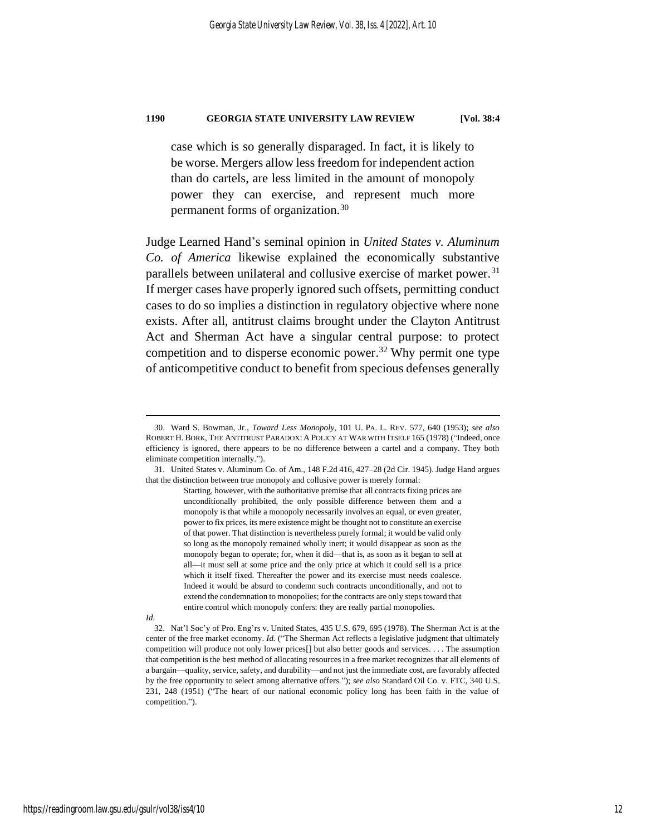<span id="page-12-0"></span>

case which is so generally disparaged. In fact, it is likely to be worse. Mergers allow less freedom for independent action than do cartels, are less limited in the amount of monopoly power they can exercise, and represent much more permanent forms of organization.<sup>30</sup>

Judge Learned Hand's seminal opinion in *United States v. Aluminum Co. of America* likewise explained the economically substantive parallels between unilateral and collusive exercise of market power.<sup>31</sup> If merger cases have properly ignored such offsets, permitting conduct cases to do so implies a distinction in regulatory objective where none exists. After all, antitrust claims brought under the Clayton Antitrust Act and Sherman Act have a singular central purpose: to protect competition and to disperse economic power. <sup>32</sup> Why permit one type of anticompetitive conduct to benefit from specious defenses generally

#### *Id*.

32. Nat'l Soc'y of Pro. Eng'rs v. United States, 435 U.S. 679, 695 (1978). The Sherman Act is at the center of the free market economy. *Id.* ("The Sherman Act reflects a legislative judgment that ultimately competition will produce not only lower prices[] but also better goods and services. . . . The assumption that competition is the best method of allocating resources in a free market recognizes that all elements of a bargain—quality, service, safety, and durability—and not just the immediate cost, are favorably affected by the free opportunity to select among alternative offers."); *see also* Standard Oil Co. v. FTC, 340 U.S. 231, 248 (1951) ("The heart of our national economic policy long has been faith in the value of competition.").

<sup>30.</sup> Ward S. Bowman, Jr., *Toward Less Monopoly*, 101 U. PA. L. REV. 577, 640 (1953); *see also* ROBERT H. BORK, THE ANTITRUST PARADOX: A POLICY AT WAR WITH ITSELF 165 (1978) ("Indeed, once efficiency is ignored, there appears to be no difference between a cartel and a company. They both eliminate competition internally.").

<sup>31.</sup> United States v. Aluminum Co. of Am., 148 F.2d 416, 427–28 (2d Cir. 1945). Judge Hand argues that the distinction between true monopoly and collusive power is merely formal:

Starting, however, with the authoritative premise that all contracts fixing prices are unconditionally prohibited, the only possible difference between them and a monopoly is that while a monopoly necessarily involves an equal, or even greater, power to fix prices, its mere existence might be thought not to constitute an exercise of that power. That distinction is nevertheless purely formal; it would be valid only so long as the monopoly remained wholly inert; it would disappear as soon as the monopoly began to operate; for, when it did—that is, as soon as it began to sell at all—it must sell at some price and the only price at which it could sell is a price which it itself fixed. Thereafter the power and its exercise must needs coalesce. Indeed it would be absurd to condemn such contracts unconditionally, and not to extend the condemnation to monopolies; for the contracts are only steps toward that entire control which monopoly confers: they are really partial monopolies.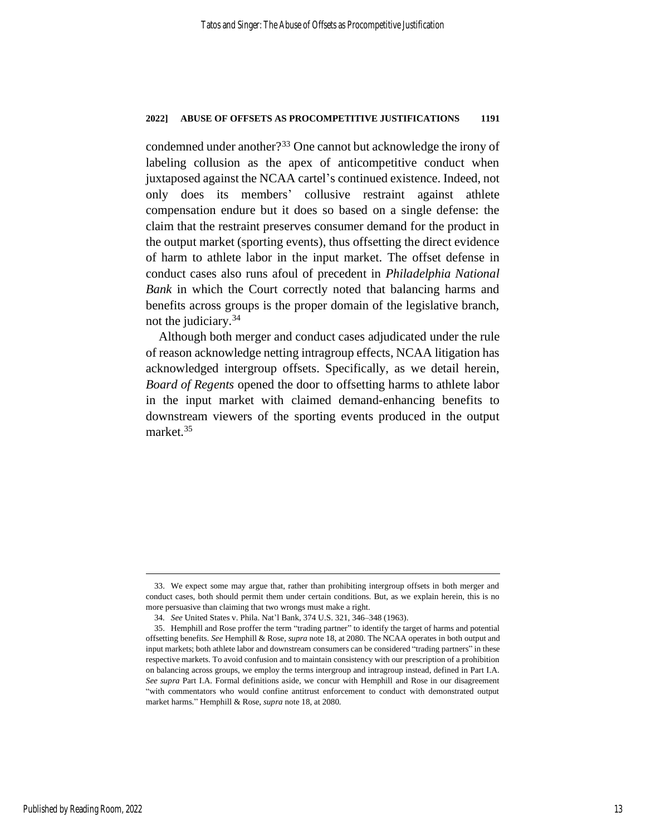condemned under another?<sup>33</sup> One cannot but acknowledge the irony of labeling collusion as the apex of anticompetitive conduct when juxtaposed against the NCAA cartel's continued existence. Indeed, not only does its members' collusive restraint against athlete compensation endure but it does so based on a single defense: the claim that the restraint preserves consumer demand for the product in the output market (sporting events), thus offsetting the direct evidence of harm to athlete labor in the input market. The offset defense in conduct cases also runs afoul of precedent in *Philadelphia National Bank* in which the Court correctly noted that balancing harms and benefits across groups is the proper domain of the legislative branch, not the judiciary.<sup>34</sup>

Although both merger and conduct cases adjudicated under the rule of reason acknowledge netting intragroup effects, NCAA litigation has acknowledged intergroup offsets. Specifically, as we detail herein, *Board of Regents* opened the door to offsetting harms to athlete labor in the input market with claimed demand-enhancing benefits to downstream viewers of the sporting events produced in the output market.<sup>35</sup>

<sup>33.</sup> We expect some may argue that, rather than prohibiting intergroup offsets in both merger and conduct cases, both should permit them under certain conditions. But, as we explain herein, this is no more persuasive than claiming that two wrongs must make a right.

<sup>34</sup>*. See* United States v. Phila. Nat'l Bank, 374 U.S. 321, 346–348 (1963).

<sup>35.</sup> Hemphill and Rose proffer the term "trading partner" to identify the target of harms and potential offsetting benefits. *See* Hemphill & Rose, *supra* not[e 18,](#page-8-0) at 2080. The NCAA operates in both output and input markets; both athlete labor and downstream consumers can be considered "trading partners" in these respective markets. To avoid confusion and to maintain consistency with our prescription of a prohibition on balancing across groups, we employ the terms intergroup and intragroup instead, defined in Part I.A. *See supra* Part I.A. Formal definitions aside, we concur with Hemphill and Rose in our disagreement "with commentators who would confine antitrust enforcement to conduct with demonstrated output market harms." Hemphill & Rose, *supra* note [18,](#page-8-0) at 2080*.*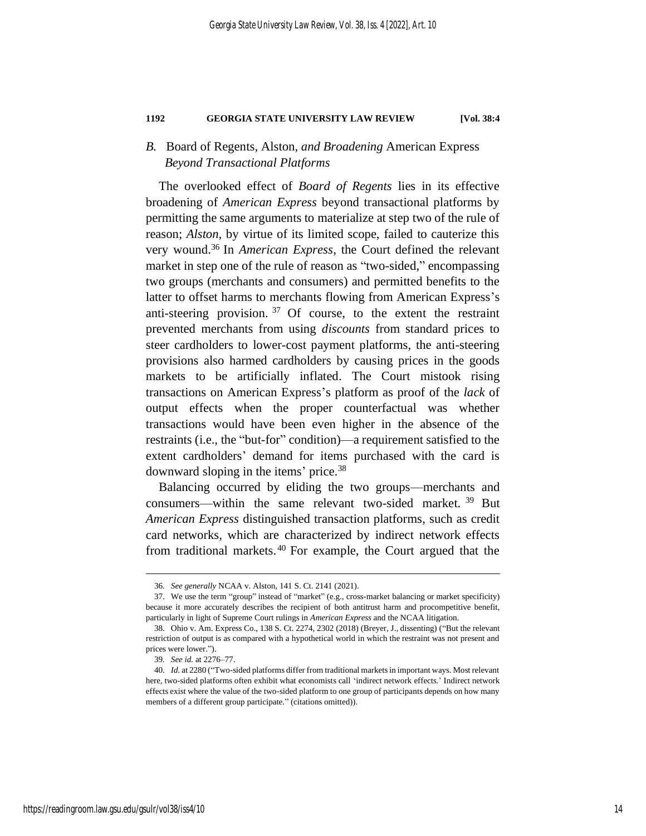## *B.* Board of Regents*,* Alston*, and Broadening* American Express *Beyond Transactional Platforms*

The overlooked effect of *Board of Regents* lies in its effective broadening of *American Express* beyond transactional platforms by permitting the same arguments to materialize at step two of the rule of reason; *Alston*, by virtue of its limited scope, failed to cauterize this very wound. <sup>36</sup> In *American Express*, the Court defined the relevant market in step one of the rule of reason as "two-sided," encompassing two groups (merchants and consumers) and permitted benefits to the latter to offset harms to merchants flowing from American Express's anti-steering provision. <sup>37</sup> Of course, to the extent the restraint prevented merchants from using *discounts* from standard prices to steer cardholders to lower-cost payment platforms, the anti-steering provisions also harmed cardholders by causing prices in the goods markets to be artificially inflated. The Court mistook rising transactions on American Express's platform as proof of the *lack* of output effects when the proper counterfactual was whether transactions would have been even higher in the absence of the restraints (i.e., the "but-for" condition)—a requirement satisfied to the extent cardholders' demand for items purchased with the card is downward sloping in the items' price.<sup>38</sup>

Balancing occurred by eliding the two groups—merchants and consumers—within the same relevant two-sided market. <sup>39</sup> But *American Express* distinguished transaction platforms, such as credit card networks, which are characterized by indirect network effects from traditional markets.<sup>40</sup> For example, the Court argued that the

<sup>36</sup>*. See generally* NCAA v. Alston, 141 S. Ct. 2141 (2021).

<sup>37.</sup> We use the term "group" instead of "market" (e.g., cross-market balancing or market specificity) because it more accurately describes the recipient of both antitrust harm and procompetitive benefit, particularly in light of Supreme Court rulings in *American Express* and the NCAA litigation.

<sup>38.</sup> Ohio v. Am. Express Co., 138 S. Ct. 2274, 2302 (2018) (Breyer, J., dissenting) ("But the relevant restriction of output is as compared with a hypothetical world in which the restraint was not present and prices were lower.").

<sup>39</sup>*. See id.* at 2276–77.

<sup>40</sup>*. Id.* at 2280 ("Two-sided platforms differ from traditional markets in important ways. Most relevant here, two-sided platforms often exhibit what economists call 'indirect network effects.' Indirect network effects exist where the value of the two-sided platform to one group of participants depends on how many members of a different group participate." (citations omitted)).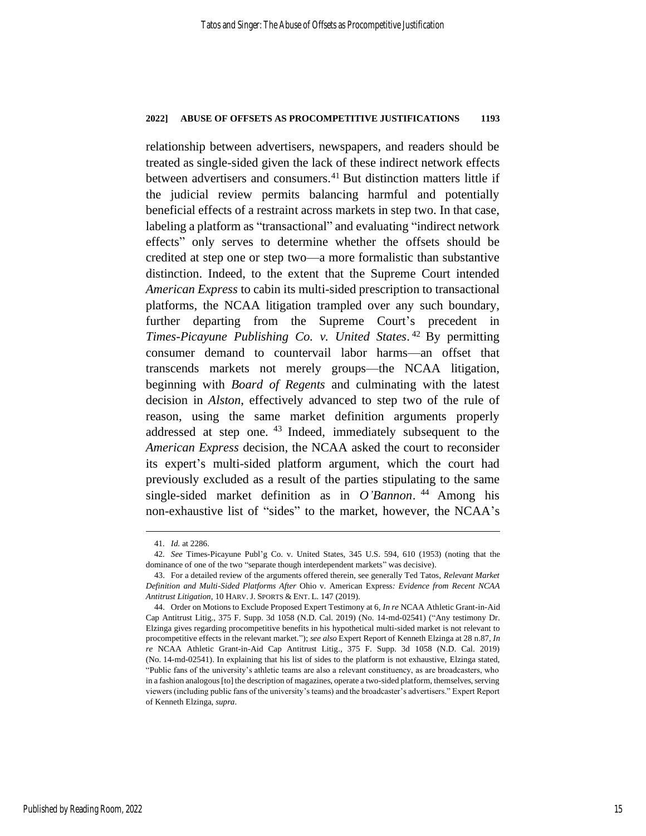relationship between advertisers, newspapers, and readers should be treated as single-sided given the lack of these indirect network effects between advertisers and consumers.<sup>41</sup> But distinction matters little if the judicial review permits balancing harmful and potentially beneficial effects of a restraint across markets in step two. In that case, labeling a platform as "transactional" and evaluating "indirect network effects" only serves to determine whether the offsets should be credited at step one or step two—a more formalistic than substantive distinction. Indeed, to the extent that the Supreme Court intended *American Express* to cabin its multi-sided prescription to transactional platforms, the NCAA litigation trampled over any such boundary, further departing from the Supreme Court's precedent in *Times-Picayune Publishing Co. v. United States*. <sup>42</sup> By permitting consumer demand to countervail labor harms—an offset that transcends markets not merely groups—the NCAA litigation, beginning with *Board of Regents* and culminating with the latest decision in *Alston*, effectively advanced to step two of the rule of reason, using the same market definition arguments properly addressed at step one. <sup>43</sup> Indeed, immediately subsequent to the *American Express* decision, the NCAA asked the court to reconsider its expert's multi-sided platform argument, which the court had previously excluded as a result of the parties stipulating to the same single-sided market definition as in *O'Bannon*. <sup>44</sup> Among his non-exhaustive list of "sides" to the market, however, the NCAA's

<span id="page-15-0"></span><sup>41</sup>*. Id.* at 2286.

<sup>42</sup>*. See* Times-Picayune Publ'g Co. v. United States, 345 U.S. 594, 610 (1953) (noting that the dominance of one of the two "separate though interdependent markets" was decisive).

<sup>43.</sup> For a detailed review of the arguments offered therein, see generally Ted Tatos, *Relevant Market Definition and Multi-Sided Platforms After* Ohio v. American Express*: Evidence from Recent NCAA Antitrust Litigation*, 10 HARV.J. SPORTS & ENT. L. 147 (2019).

<sup>44.</sup> Order on Motions to Exclude Proposed Expert Testimony at 6, *In re* NCAA Athletic Grant-in-Aid Cap Antitrust Litig., 375 F. Supp. 3d 1058 (N.D. Cal. 2019) (No. 14-md-02541) ("Any testimony Dr. Elzinga gives regarding procompetitive benefits in his hypothetical multi-sided market is not relevant to procompetitive effects in the relevant market."); *see also* Expert Report of Kenneth Elzinga at 28 n.87, *In re* NCAA Athletic Grant-in-Aid Cap Antitrust Litig., 375 F. Supp. 3d 1058 (N.D. Cal. 2019) (No. 14-md-02541). In explaining that his list of sides to the platform is not exhaustive, Elzinga stated, "Public fans of the university's athletic teams are also a relevant constituency, as are broadcasters, who in a fashion analogous [to] the description of magazines, operate a two-sided platform, themselves, serving viewers (including public fans of the university's teams) and the broadcaster's advertisers." Expert Report of Kenneth Elzinga, *supra*.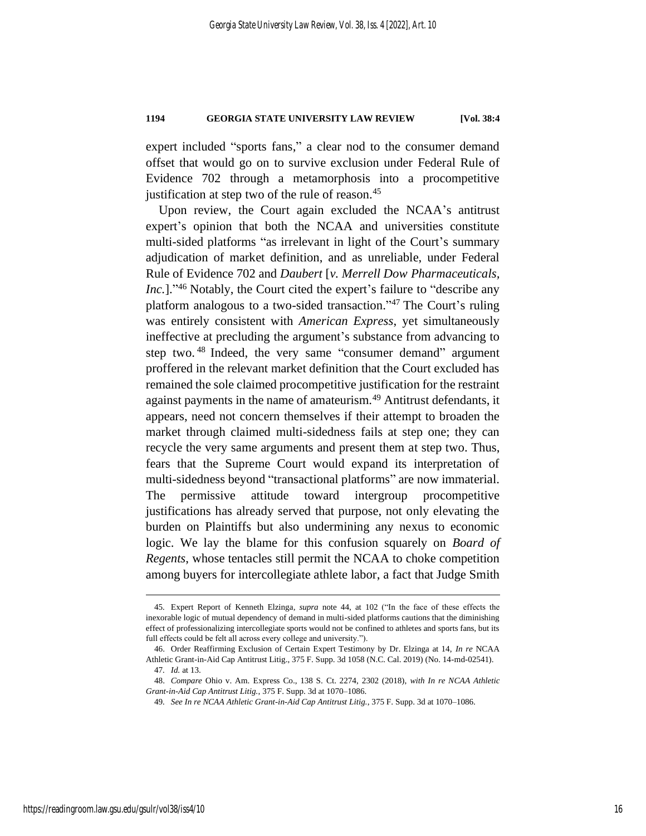expert included "sports fans," a clear nod to the consumer demand offset that would go on to survive exclusion under Federal Rule of Evidence 702 through a metamorphosis into a procompetitive justification at step two of the rule of reason.<sup>45</sup>

Upon review, the Court again excluded the NCAA's antitrust expert's opinion that both the NCAA and universities constitute multi-sided platforms "as irrelevant in light of the Court's summary adjudication of market definition, and as unreliable, under Federal Rule of Evidence 702 and *Daubert* [*v. Merrell Dow Pharmaceuticals,*  Inc.]."<sup>46</sup> Notably, the Court cited the expert's failure to "describe any platform analogous to a two-sided transaction."<sup>47</sup> The Court's ruling was entirely consistent with *American Express*, yet simultaneously ineffective at precluding the argument's substance from advancing to step two.<sup>48</sup> Indeed, the very same "consumer demand" argument proffered in the relevant market definition that the Court excluded has remained the sole claimed procompetitive justification for the restraint against payments in the name of amateurism.<sup>49</sup> Antitrust defendants, it appears, need not concern themselves if their attempt to broaden the market through claimed multi-sidedness fails at step one; they can recycle the very same arguments and present them at step two. Thus, fears that the Supreme Court would expand its interpretation of multi-sidedness beyond "transactional platforms" are now immaterial. The permissive attitude toward intergroup procompetitive justifications has already served that purpose, not only elevating the burden on Plaintiffs but also undermining any nexus to economic logic. We lay the blame for this confusion squarely on *Board of Regents*, whose tentacles still permit the NCAA to choke competition among buyers for intercollegiate athlete labor, a fact that Judge Smith

<sup>45</sup>*.* Expert Report of Kenneth Elzinga*, supra* note [44,](#page-15-0) at 102 ("In the face of these effects the inexorable logic of mutual dependency of demand in multi-sided platforms cautions that the diminishing effect of professionalizing intercollegiate sports would not be confined to athletes and sports fans, but its full effects could be felt all across every college and university.").

<sup>46.</sup> Order Reaffirming Exclusion of Certain Expert Testimony by Dr. Elzinga at 14, *In re* NCAA Athletic Grant-in-Aid Cap Antitrust Litig., 375 F. Supp. 3d 1058 (N.C. Cal. 2019) (No. 14-md-02541). 47*. Id.* at 13.

<sup>48.</sup> *Compare* Ohio v. Am. Express Co., 138 S. Ct. 2274, 2302 (2018), *with In re NCAA Athletic Grant-in-Aid Cap Antitrust Litig.*, 375 F. Supp. 3d at 1070–1086.

<sup>49</sup>*. See In re NCAA Athletic Grant-in-Aid Cap Antitrust Litig.*, 375 F. Supp. 3d at 1070–1086.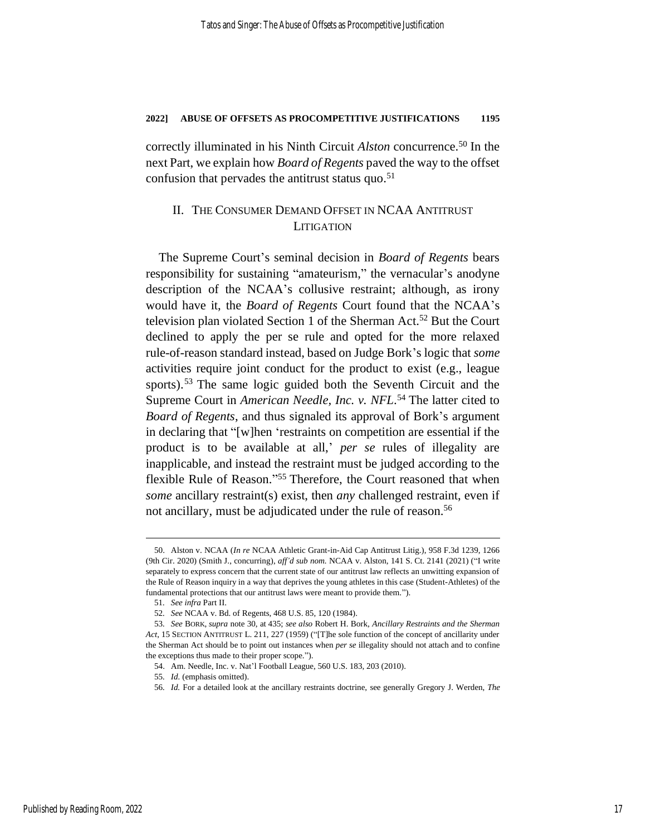correctly illuminated in his Ninth Circuit *Alston* concurrence. <sup>50</sup> In the next Part, we explain how *Board of Regents* paved the way to the offset confusion that pervades the antitrust status quo. 51

## II. THE CONSUMER DEMAND OFFSET IN NCAA ANTITRUST **LITIGATION**

The Supreme Court's seminal decision in *Board of Regents* bears responsibility for sustaining "amateurism," the vernacular's anodyne description of the NCAA's collusive restraint; although, as irony would have it, the *Board of Regents* Court found that the NCAA's television plan violated Section 1 of the Sherman Act.<sup>52</sup> But the Court declined to apply the per se rule and opted for the more relaxed rule-of-reason standard instead, based on Judge Bork's logic that *some* activities require joint conduct for the product to exist (e.g., league sports). <sup>53</sup> The same logic guided both the Seventh Circuit and the Supreme Court in *American Needle, Inc. v. NFL*. <sup>54</sup> The latter cited to *Board of Regents*, and thus signaled its approval of Bork's argument in declaring that "[w]hen 'restraints on competition are essential if the product is to be available at all,' *per se* rules of illegality are inapplicable, and instead the restraint must be judged according to the flexible Rule of Reason."<sup>55</sup> Therefore, the Court reasoned that when *some* ancillary restraint(s) exist, then *any* challenged restraint, even if not ancillary, must be adjudicated under the rule of reason.<sup>56</sup>

<span id="page-17-0"></span><sup>50.</sup> Alston v. NCAA (*In re* NCAA Athletic Grant-in-Aid Cap Antitrust Litig.), 958 F.3d 1239, 1266 (9th Cir. 2020) (Smith J., concurring), *aff'd sub nom.* NCAA v. Alston, 141 S. Ct. 2141 (2021) ("I write separately to express concern that the current state of our antitrust law reflects an unwitting expansion of the Rule of Reason inquiry in a way that deprives the young athletes in this case (Student-Athletes) of the fundamental protections that our antitrust laws were meant to provide them.").

<sup>51</sup>*. See infra* Part II.

<sup>52</sup>*. See* NCAA v. Bd. of Regents, 468 U.S. 85, 120 (1984).

<sup>53</sup>*. See* BORK, *supra* not[e 30,](#page-12-0) at 435; *see also* Robert H. Bork, *Ancillary Restraints and the Sherman Act*, 15 SECTION ANTITRUST L. 211, 227 (1959) ("[T]he sole function of the concept of ancillarity under the Sherman Act should be to point out instances when *per se* illegality should not attach and to confine the exceptions thus made to their proper scope.").

<sup>54.</sup> Am. Needle, Inc. v. Nat'l Football League, 560 U.S. 183, 203 (2010).

<sup>55</sup>*. Id.* (emphasis omitted).

<sup>56</sup>*. Id.* For a detailed look at the ancillary restraints doctrine, see generally Gregory J. Werden, *The*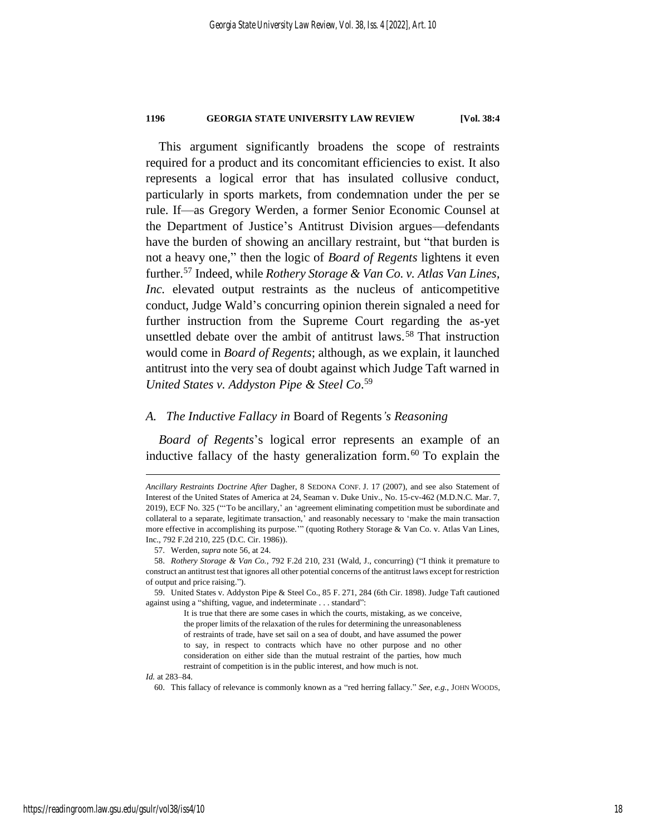This argument significantly broadens the scope of restraints required for a product and its concomitant efficiencies to exist. It also represents a logical error that has insulated collusive conduct, particularly in sports markets, from condemnation under the per se rule. If—as Gregory Werden, a former Senior Economic Counsel at the Department of Justice's Antitrust Division argues—defendants have the burden of showing an ancillary restraint, but "that burden is not a heavy one," then the logic of *Board of Regents* lightens it even further.<sup>57</sup> Indeed, while *Rothery Storage & Van Co. v. Atlas Van Lines, Inc.* elevated output restraints as the nucleus of anticompetitive conduct, Judge Wald's concurring opinion therein signaled a need for further instruction from the Supreme Court regarding the as-yet unsettled debate over the ambit of antitrust laws.<sup>58</sup> That instruction would come in *Board of Regents*; although, as we explain, it launched antitrust into the very sea of doubt against which Judge Taft warned in *United States v. Addyston Pipe & Steel Co*. 59

#### *A. The Inductive Fallacy in* Board of Regents*'s Reasoning*

*Board of Regents*'s logical error represents an example of an inductive fallacy of the hasty generalization form. <sup>60</sup> To explain the

#### *Id.* at 283–84.

60. This fallacy of relevance is commonly known as a "red herring fallacy." *See, e.g.*, JOHN WOODS,

*Ancillary Restraints Doctrine After* Dagher, 8 SEDONA CONF. J. 17 (2007), and see also Statement of Interest of the United States of America at 24, Seaman v. Duke Univ., No. 15-cv-462 (M.D.N.C. Mar. 7, 2019), ECF No. 325 ("'To be ancillary,' an 'agreement eliminating competition must be subordinate and collateral to a separate, legitimate transaction,' and reasonably necessary to 'make the main transaction more effective in accomplishing its purpose.'" (quoting Rothery Storage & Van Co. v. Atlas Van Lines, Inc., 792 F.2d 210, 225 (D.C. Cir. 1986)).

<sup>57.</sup> Werden, *supra* not[e 56,](#page-17-0) at 24.

<sup>58.</sup> *Rothery Storage & Van Co.*, 792 F.2d 210, 231 (Wald, J., concurring) ("I think it premature to construct an antitrust test that ignores all other potential concerns of the antitrust laws except for restriction of output and price raising.").

<sup>59.</sup> United States v. Addyston Pipe & Steel Co., 85 F. 271, 284 (6th Cir. 1898). Judge Taft cautioned against using a "shifting, vague, and indeterminate . . . standard":

It is true that there are some cases in which the courts, mistaking, as we conceive, the proper limits of the relaxation of the rules for determining the unreasonableness of restraints of trade, have set sail on a sea of doubt, and have assumed the power to say, in respect to contracts which have no other purpose and no other consideration on either side than the mutual restraint of the parties, how much restraint of competition is in the public interest, and how much is not.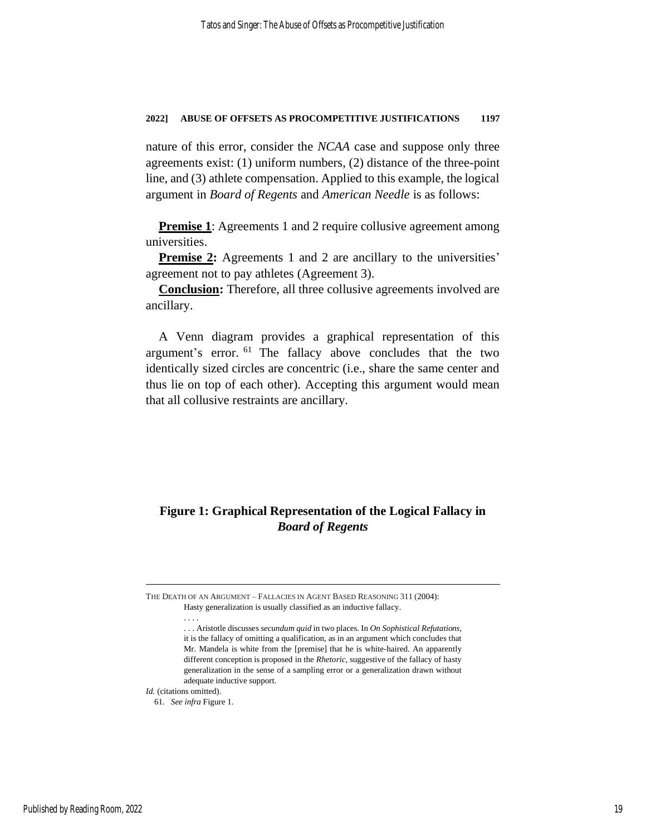nature of this error, consider the *NCAA* case and suppose only three agreements exist: (1) uniform numbers, (2) distance of the three-point line, and (3) athlete compensation. Applied to this example, the logical argument in *Board of Regents* and *American Needle* is as follows:

**Premise 1**: Agreements 1 and 2 require collusive agreement among universities.

**Premise 2:** Agreements 1 and 2 are ancillary to the universities' agreement not to pay athletes (Agreement 3).

**Conclusion:** Therefore, all three collusive agreements involved are ancillary.

A Venn diagram provides a graphical representation of this argument's error. <sup>61</sup> The fallacy above concludes that the two identically sized circles are concentric (i.e., share the same center and thus lie on top of each other). Accepting this argument would mean that all collusive restraints are ancillary.

## **Figure 1: Graphical Representation of the Logical Fallacy in**  *Board of Regents*

THE DEATH OF AN ARGUMENT – FALLACIES IN AGENT BASED REASONING 311 (2004): Hasty generalization is usually classified as an inductive fallacy.

<sup>.</sup> . . .

<sup>.</sup> . . Aristotle discusses *secundum quid* in two places. In *On Sophistical Refutations*, it is the fallacy of omitting a qualification, as in an argument which concludes that Mr. Mandela is white from the [premise] that he is white-haired. An apparently different conception is proposed in the *Rhetoric*, suggestive of the fallacy of hasty generalization in the sense of a sampling error or a generalization drawn without adequate inductive support.

*Id.* (citations omitted).

<sup>61</sup>*. See infra* Figure 1.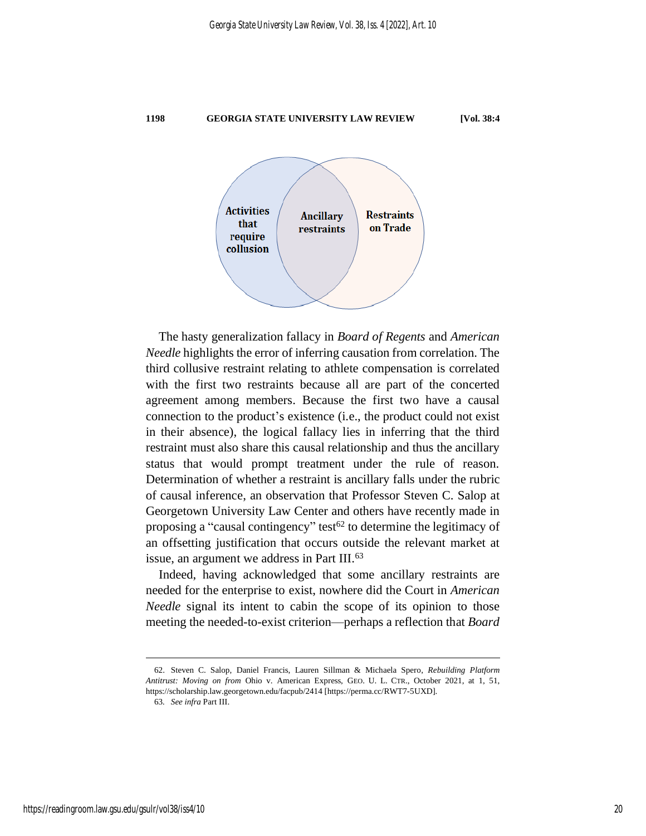

The hasty generalization fallacy in *Board of Regents* and *American Needle* highlights the error of inferring causation from correlation. The third collusive restraint relating to athlete compensation is correlated with the first two restraints because all are part of the concerted agreement among members. Because the first two have a causal connection to the product's existence (i.e., the product could not exist in their absence), the logical fallacy lies in inferring that the third restraint must also share this causal relationship and thus the ancillary status that would prompt treatment under the rule of reason. Determination of whether a restraint is ancillary falls under the rubric of causal inference, an observation that Professor Steven C. Salop at Georgetown University Law Center and others have recently made in proposing a "causal contingency" test<sup>62</sup> to determine the legitimacy of an offsetting justification that occurs outside the relevant market at issue, an argument we address in Part III.<sup>63</sup>

<span id="page-20-0"></span>Indeed, having acknowledged that some ancillary restraints are needed for the enterprise to exist, nowhere did the Court in *American Needle* signal its intent to cabin the scope of its opinion to those meeting the needed-to-exist criterion—perhaps a reflection that *Board* 

<sup>62.</sup> Steven C. Salop, Daniel Francis, Lauren Sillman & Michaela Spero, *Rebuilding Platform Antitrust: Moving on from* Ohio v. American Express, GEO. U. L. CTR., October 2021, at 1, 51, https://scholarship.law.georgetown.edu/facpub/2414 [https://perma.cc/RWT7-5UXD].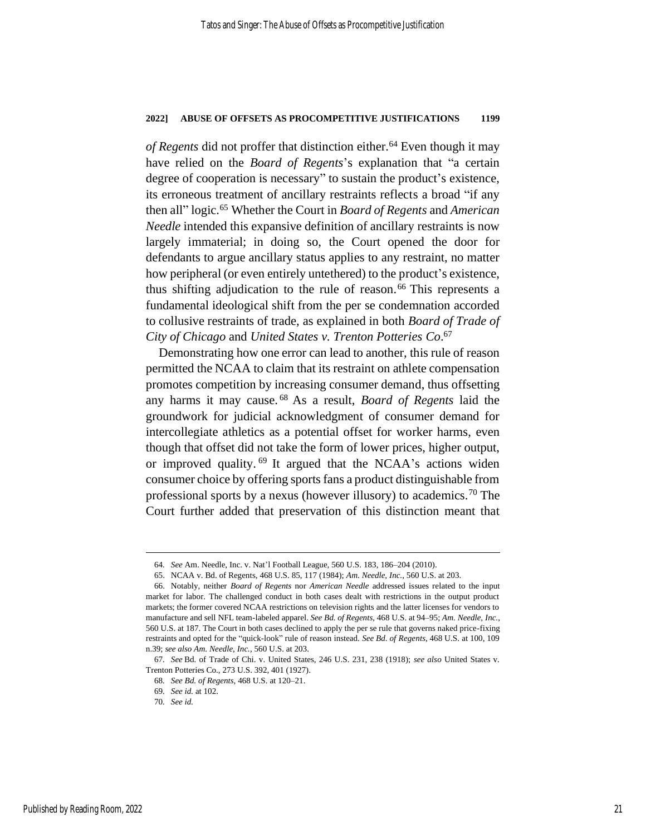*of Regents* did not proffer that distinction either.<sup>64</sup> Even though it may have relied on the *Board of Regents*'s explanation that "a certain degree of cooperation is necessary" to sustain the product's existence, its erroneous treatment of ancillary restraints reflects a broad "if any then all" logic.<sup>65</sup> Whether the Court in *Board of Regents* and *American Needle* intended this expansive definition of ancillary restraints is now largely immaterial; in doing so, the Court opened the door for defendants to argue ancillary status applies to any restraint, no matter how peripheral (or even entirely untethered) to the product's existence, thus shifting adjudication to the rule of reason. <sup>66</sup> This represents a fundamental ideological shift from the per se condemnation accorded to collusive restraints of trade, as explained in both *Board of Trade of City of Chicago* and *United States v. Trenton Potteries Co*. 67

Demonstrating how one error can lead to another, this rule of reason permitted the NCAA to claim that its restraint on athlete compensation promotes competition by increasing consumer demand, thus offsetting any harms it may cause. <sup>68</sup> As a result, *Board of Regents* laid the groundwork for judicial acknowledgment of consumer demand for intercollegiate athletics as a potential offset for worker harms, even though that offset did not take the form of lower prices, higher output, or improved quality.<sup>69</sup> It argued that the NCAA's actions widen consumer choice by offering sports fans a product distinguishable from professional sports by a nexus (however illusory) to academics.<sup>70</sup> The Court further added that preservation of this distinction meant that

<sup>64</sup>*. See* Am. Needle, Inc. v. Nat'l Football League, 560 U.S. 183, 186–204 (2010).

<sup>65.</sup> NCAA v. Bd. of Regents, 468 U.S. 85, 117 (1984); *Am. Needle, Inc.*, 560 U.S. at 203.

<sup>66.</sup> Notably, neither *Board of Regents* nor *American Needle* addressed issues related to the input market for labor. The challenged conduct in both cases dealt with restrictions in the output product markets; the former covered NCAA restrictions on television rights and the latter licenses for vendors to manufacture and sell NFL team-labeled apparel. *See Bd. of Regents*, 468 U.S. at 94–95; *Am. Needle, Inc.*, 560 U.S. at 187. The Court in both cases declined to apply the per se rule that governs naked price-fixing restraints and opted for the "quick-look" rule of reason instead. *See Bd. of Regents*, 468 U.S. at 100, 109 n.39; *see also Am. Needle, Inc.*, 560 U.S. at 203.

<sup>67</sup>*. See* Bd. of Trade of Chi. v. United States, 246 U.S. 231, 238 (1918); *see also* United States v. Trenton Potteries Co., 273 U.S. 392, 401 (1927).

<sup>68</sup>*. See Bd. of Regents*, 468 U.S. at 120–21.

<sup>69</sup>*. See id.* at 102.

<sup>70</sup>*. See id.*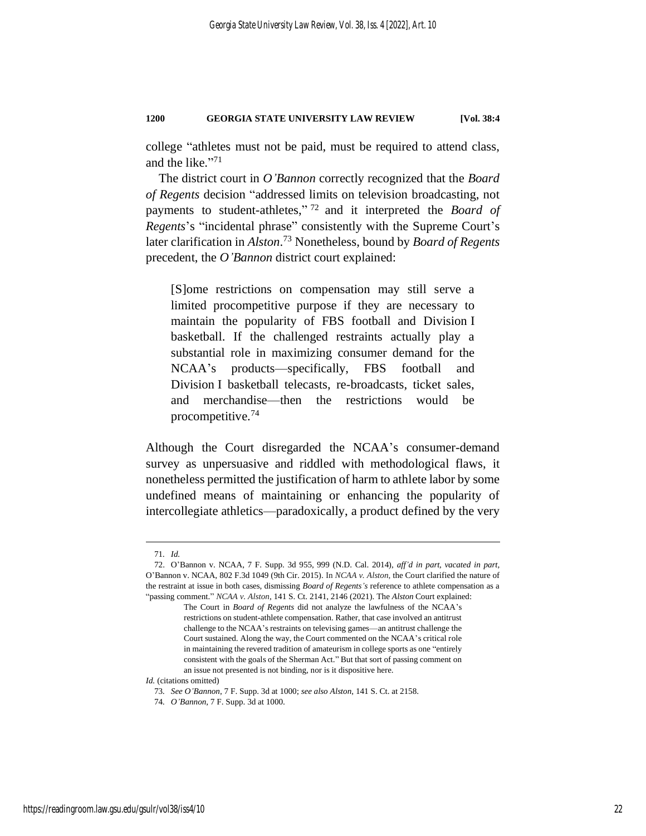college "athletes must not be paid, must be required to attend class, and the like." 71

The district court in *O'Bannon* correctly recognized that the *Board of Regents* decision "addressed limits on television broadcasting, not payments to student-athletes," <sup>72</sup> and it interpreted the *Board of Regents*'s "incidental phrase" consistently with the Supreme Court's later clarification in *Alston*. <sup>73</sup> Nonetheless, bound by *Board of Regents* precedent, the *O'Bannon* district court explained:

[S]ome restrictions on compensation may still serve a limited procompetitive purpose if they are necessary to maintain the popularity of FBS football and Division I basketball. If the challenged restraints actually play a substantial role in maximizing consumer demand for the NCAA's products—specifically, FBS football and Division I basketball telecasts, re-broadcasts, ticket sales, and merchandise—then the restrictions would be procompetitive.<sup>74</sup>

Although the Court disregarded the NCAA's consumer-demand survey as unpersuasive and riddled with methodological flaws, it nonetheless permitted the justification of harm to athlete labor by some undefined means of maintaining or enhancing the popularity of intercollegiate athletics—paradoxically, a product defined by the very

<sup>71</sup>*. Id.*

<sup>72.</sup> O'Bannon v. NCAA, 7 F. Supp. 3d 955, 999 (N.D. Cal. 2014), *aff'd in part, vacated in part,*  O'Bannon v. NCAA, 802 F.3d 1049 (9th Cir. 2015). In *NCAA v. Alston*, the Court clarified the nature of the restraint at issue in both cases, dismissing *Board of Regents's* reference to athlete compensation as a "passing comment." *NCAA v. Alston*, 141 S. Ct. 2141, 2146 (2021). The *Alston* Court explained:

The Court in *Board of Regents* did not analyze the lawfulness of the NCAA's restrictions on student-athlete compensation. Rather, that case involved an antitrust challenge to the NCAA's restraints on televising games—an antitrust challenge the Court sustained. Along the way, the Court commented on the NCAA's critical role in maintaining the revered tradition of amateurism in college sports as one "entirely consistent with the goals of the Sherman Act." But that sort of passing comment on an issue not presented is not binding, nor is it dispositive here.

*Id.* (citations omitted)

<sup>73</sup>*. See O'Bannon*, 7 F. Supp. 3d at 1000; *see also Alston*, 141 S. Ct. at 2158.

<sup>74</sup>*. O'Bannon*, 7 F. Supp. 3d at 1000.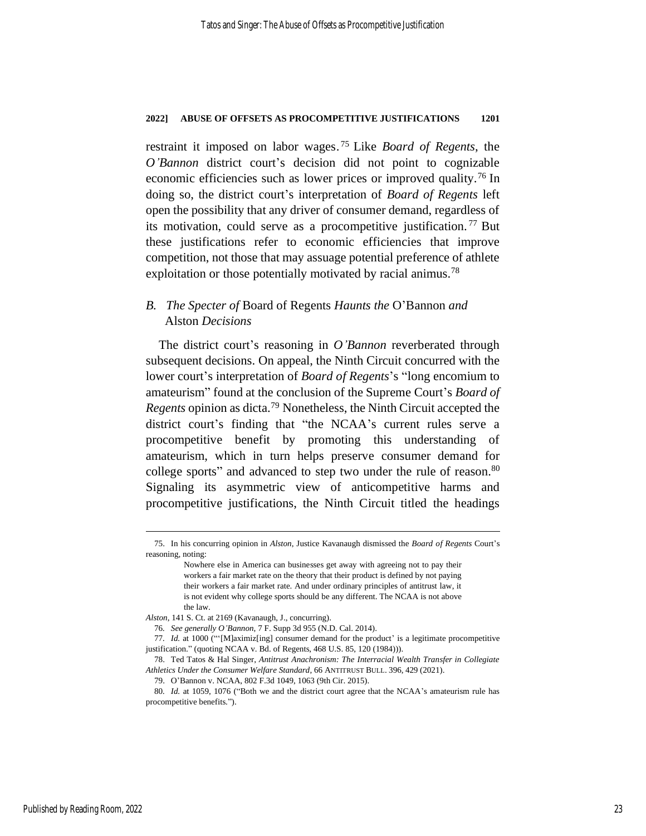restraint it imposed on labor wages. <sup>75</sup> Like *Board of Regents*, the *O'Bannon* district court's decision did not point to cognizable economic efficiencies such as lower prices or improved quality.<sup>76</sup> In doing so, the district court's interpretation of *Board of Regents* left open the possibility that any driver of consumer demand, regardless of its motivation, could serve as a procompetitive justification. <sup>77</sup> But these justifications refer to economic efficiencies that improve competition, not those that may assuage potential preference of athlete exploitation or those potentially motivated by racial animus.<sup>78</sup>

## <span id="page-23-0"></span>*B. The Specter of* Board of Regents *Haunts the* O'Bannon *and*  Alston *Decisions*

The district court's reasoning in *O'Bannon* reverberated through subsequent decisions. On appeal, the Ninth Circuit concurred with the lower court's interpretation of *Board of Regents*'s "long encomium to amateurism" found at the conclusion of the Supreme Court's *Board of Regents* opinion as dicta.<sup>79</sup> Nonetheless, the Ninth Circuit accepted the district court's finding that "the NCAA's current rules serve a procompetitive benefit by promoting this understanding of amateurism, which in turn helps preserve consumer demand for college sports" and advanced to step two under the rule of reason.<sup>80</sup> Signaling its asymmetric view of anticompetitive harms and procompetitive justifications, the Ninth Circuit titled the headings

<sup>75.</sup> In his concurring opinion in *Alston*, Justice Kavanaugh dismissed the *Board of Regents* Court's reasoning, noting:

Nowhere else in America can businesses get away with agreeing not to pay their workers a fair market rate on the theory that their product is defined by not paying their workers a fair market rate. And under ordinary principles of antitrust law, it is not evident why college sports should be any different. The NCAA is not above the law.

*Alston*, 141 S. Ct. at 2169 (Kavanaugh, J., concurring).

<sup>76</sup>*. See generally O'Bannon*, 7 F. Supp 3d 955 (N.D. Cal. 2014).

<sup>77</sup>*. Id.* at 1000 ("'[M]aximiz[ing] consumer demand for the product' is a legitimate procompetitive justification." (quoting NCAA v. Bd. of Regents, 468 U.S. 85, 120 (1984))).

<sup>78.</sup> Ted Tatos & Hal Singer, *Antitrust Anachronism: The Interracial Wealth Transfer in Collegiate Athletics Under the Consumer Welfare Standard*, 66 ANTITRUST BULL. 396, 429 (2021).

<sup>79.</sup> O'Bannon v. NCAA, 802 F.3d 1049, 1063 (9th Cir. 2015).

<sup>80</sup>*. Id.* at 1059, 1076 ("Both we and the district court agree that the NCAA's amateurism rule has procompetitive benefits.").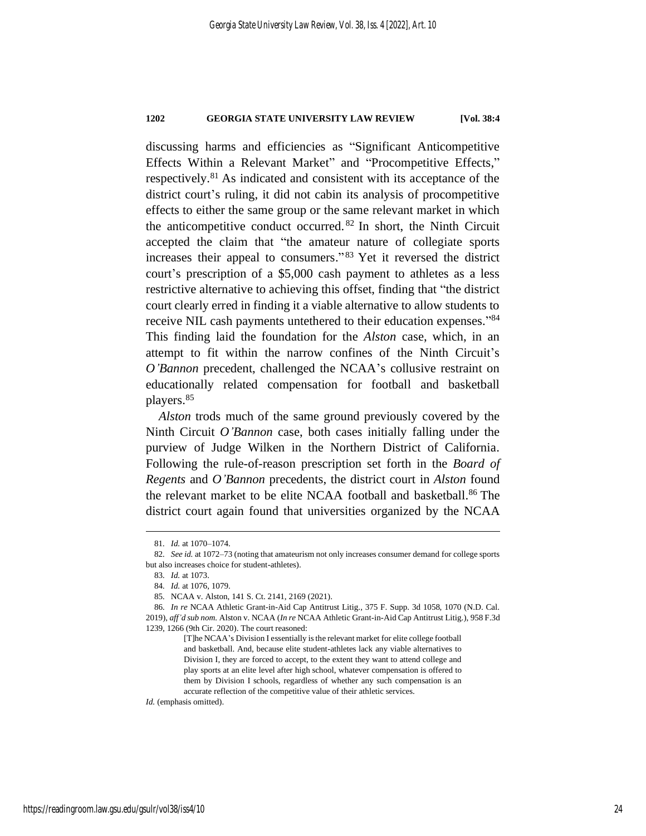discussing harms and efficiencies as "Significant Anticompetitive Effects Within a Relevant Market" and "Procompetitive Effects," respectively.<sup>81</sup> As indicated and consistent with its acceptance of the district court's ruling, it did not cabin its analysis of procompetitive effects to either the same group or the same relevant market in which the anticompetitive conduct occurred. <sup>82</sup> In short, the Ninth Circuit accepted the claim that "the amateur nature of collegiate sports increases their appeal to consumers." <sup>83</sup> Yet it reversed the district court's prescription of a \$5,000 cash payment to athletes as a less restrictive alternative to achieving this offset, finding that "the district court clearly erred in finding it a viable alternative to allow students to receive NIL cash payments untethered to their education expenses."84 This finding laid the foundation for the *Alston* case, which, in an attempt to fit within the narrow confines of the Ninth Circuit's *O'Bannon* precedent, challenged the NCAA's collusive restraint on educationally related compensation for football and basketball players. 85

*Alston* trods much of the same ground previously covered by the Ninth Circuit *O'Bannon* case, both cases initially falling under the purview of Judge Wilken in the Northern District of California. Following the rule-of-reason prescription set forth in the *Board of Regents* and *O'Bannon* precedents, the district court in *Alston* found the relevant market to be elite NCAA football and basketball. <sup>86</sup> The district court again found that universities organized by the NCAA

*Id.* (emphasis omitted).

<sup>81</sup>*. Id.* at 1070–1074.

<sup>82</sup>*. See id.* at 1072–73 (noting that amateurism not only increases consumer demand for college sports but also increases choice for student-athletes).

<sup>83</sup>*. Id.* at 1073.

<sup>84</sup>*. Id.* at 1076, 1079.

<sup>85</sup>*.* NCAA v. Alston, 141 S. Ct. 2141, 2169 (2021).

<sup>86</sup>*. In re* NCAA Athletic Grant-in-Aid Cap Antitrust Litig., 375 F. Supp. 3d 1058, 1070 (N.D. Cal. 2019), *aff'd sub nom.* Alston v. NCAA (*In re* NCAA Athletic Grant-in-Aid Cap Antitrust Litig.), 958 F.3d 1239, 1266 (9th Cir. 2020). The court reasoned:

<sup>[</sup>T]he NCAA's Division I essentially is the relevant market for elite college football and basketball. And, because elite student-athletes lack any viable alternatives to Division I, they are forced to accept, to the extent they want to attend college and play sports at an elite level after high school, whatever compensation is offered to them by Division I schools, regardless of whether any such compensation is an accurate reflection of the competitive value of their athletic services.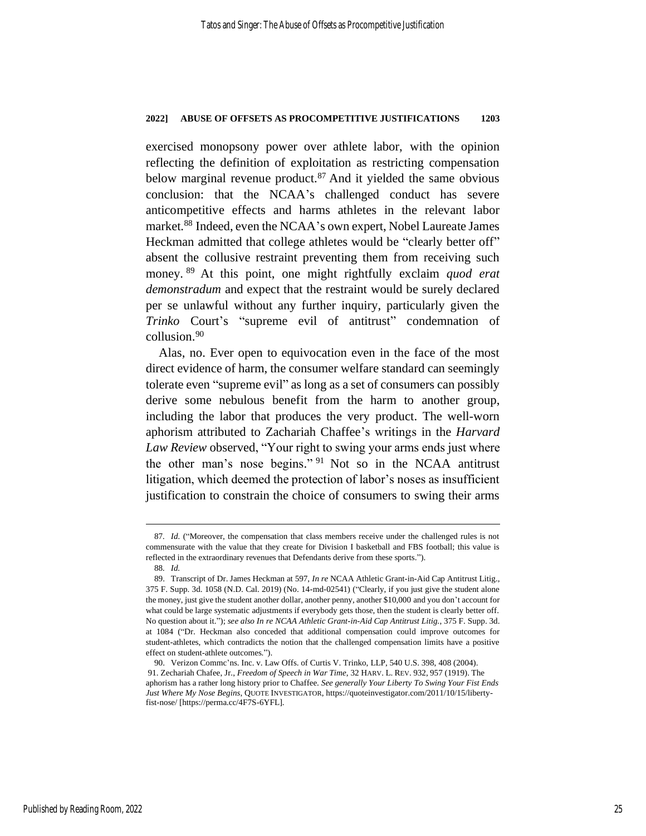exercised monopsony power over athlete labor, with the opinion reflecting the definition of exploitation as restricting compensation below marginal revenue product.<sup>87</sup> And it yielded the same obvious conclusion: that the NCAA's challenged conduct has severe anticompetitive effects and harms athletes in the relevant labor market.<sup>88</sup> Indeed, even the NCAA's own expert, Nobel Laureate James Heckman admitted that college athletes would be "clearly better off" absent the collusive restraint preventing them from receiving such money. <sup>89</sup> At this point, one might rightfully exclaim *quod erat demonstradum* and expect that the restraint would be surely declared per se unlawful without any further inquiry, particularly given the *Trinko* Court's "supreme evil of antitrust" condemnation of collusion.<sup>90</sup>

Alas, no. Ever open to equivocation even in the face of the most direct evidence of harm, the consumer welfare standard can seemingly tolerate even "supreme evil" as long as a set of consumers can possibly derive some nebulous benefit from the harm to another group, including the labor that produces the very product. The well-worn aphorism attributed to Zachariah Chaffee's writings in the *Harvard Law Review* observed, "Your right to swing your arms ends just where the other man's nose begins." <sup>91</sup> Not so in the NCAA antitrust litigation, which deemed the protection of labor's noses as insufficient justification to constrain the choice of consumers to swing their arms

<sup>87</sup>*. Id.* ("Moreover, the compensation that class members receive under the challenged rules is not commensurate with the value that they create for Division I basketball and FBS football; this value is reflected in the extraordinary revenues that Defendants derive from these sports.").

<sup>88</sup>*. Id.*

<sup>89.</sup> Transcript of Dr. James Heckman at 597, *In re* NCAA Athletic Grant-in-Aid Cap Antitrust Litig., 375 F. Supp. 3d. 1058 (N.D. Cal. 2019) (No. 14-md-02541) ("Clearly, if you just give the student alone the money, just give the student another dollar, another penny, another \$10,000 and you don't account for what could be large systematic adjustments if everybody gets those, then the student is clearly better off. No question about it."); *see also In re NCAA Athletic Grant-in-Aid Cap Antitrust Litig.*, 375 F. Supp. 3d. at 1084 ("Dr. Heckman also conceded that additional compensation could improve outcomes for student-athletes, which contradicts the notion that the challenged compensation limits have a positive effect on student-athlete outcomes.").

<sup>90.</sup> Verizon Commc'ns. Inc. v. Law Offs. of Curtis V. Trinko, LLP, 540 U.S. 398, 408 (2004). 91. Zechariah Chafee, Jr., *Freedom of Speech in War Time*, 32 HARV. L. REV. 932, 957 (1919). The aphorism has a rather long history prior to Chaffee. *See generally Your Liberty To Swing Your Fist Ends Just Where My Nose Begins*, QUOTE INVESTIGATOR, https://quoteinvestigator.com/2011/10/15/libertyfist-nose/ [https://perma.cc/4F7S-6YFL].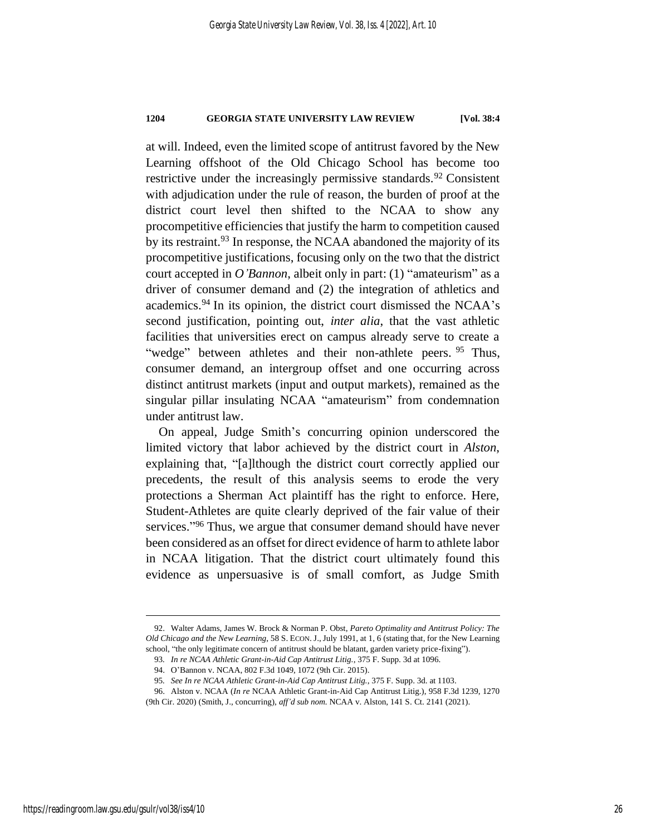at will. Indeed, even the limited scope of antitrust favored by the New Learning offshoot of the Old Chicago School has become too restrictive under the increasingly permissive standards.<sup>92</sup> Consistent with adjudication under the rule of reason, the burden of proof at the district court level then shifted to the NCAA to show any procompetitive efficiencies that justify the harm to competition caused by its restraint.<sup>93</sup> In response, the NCAA abandoned the majority of its procompetitive justifications, focusing only on the two that the district court accepted in *O'Bannon*, albeit only in part: (1) "amateurism" as a driver of consumer demand and (2) the integration of athletics and academics.<sup>94</sup> In its opinion, the district court dismissed the NCAA's second justification, pointing out, *inter alia*, that the vast athletic facilities that universities erect on campus already serve to create a "wedge" between athletes and their non-athlete peers. <sup>95</sup> Thus, consumer demand, an intergroup offset and one occurring across distinct antitrust markets (input and output markets), remained as the singular pillar insulating NCAA "amateurism" from condemnation under antitrust law.

On appeal, Judge Smith's concurring opinion underscored the limited victory that labor achieved by the district court in *Alston*, explaining that, "[a]lthough the district court correctly applied our precedents, the result of this analysis seems to erode the very protections a Sherman Act plaintiff has the right to enforce. Here, Student-Athletes are quite clearly deprived of the fair value of their services."<sup>96</sup> Thus, we argue that consumer demand should have never been considered as an offset for direct evidence of harm to athlete labor in NCAA litigation. That the district court ultimately found this evidence as unpersuasive is of small comfort, as Judge Smith

<sup>92.</sup> Walter Adams, James W. Brock & Norman P. Obst, *Pareto Optimality and Antitrust Policy: The Old Chicago and the New Learning*, 58 S. ECON. J.,July 1991, at 1, 6 (stating that, for the New Learning school, "the only legitimate concern of antitrust should be blatant, garden variety price-fixing").

<sup>93</sup>*. In re NCAA Athletic Grant-in-Aid Cap Antitrust Litig.*, 375 F. Supp. 3d at 1096.

<sup>94.</sup> O'Bannon v. NCAA, 802 F.3d 1049, 1072 (9th Cir. 2015).

<sup>95</sup>*. See In re NCAA Athletic Grant-in-Aid Cap Antitrust Litig.*, 375 F. Supp. 3d. at 1103.

<sup>96.</sup> Alston v. NCAA (*In re* NCAA Athletic Grant-in-Aid Cap Antitrust Litig.), 958 F.3d 1239, 1270

<sup>(9</sup>th Cir. 2020) (Smith, J., concurring), *aff'd sub nom.* NCAA v. Alston, 141 S. Ct. 2141 (2021).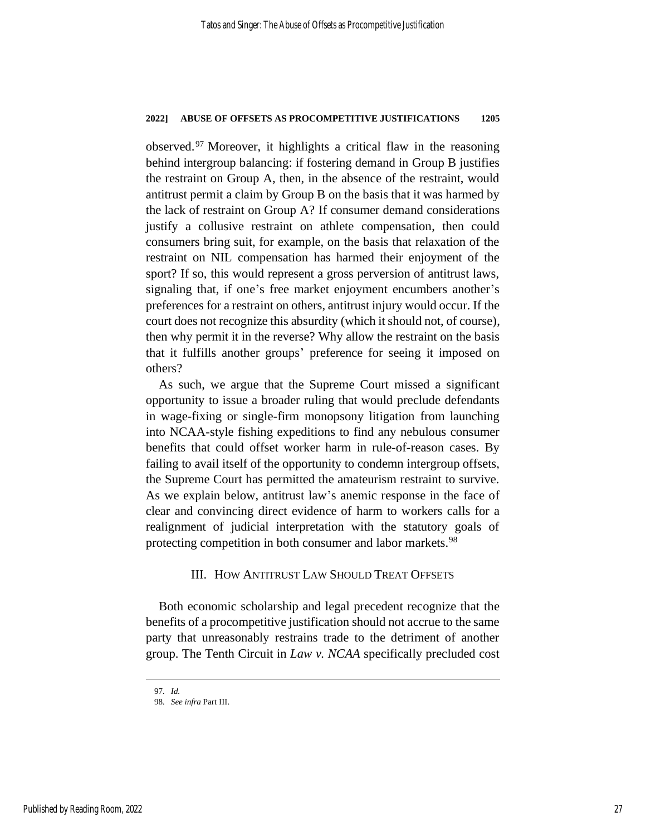observed.<sup>97</sup> Moreover, it highlights a critical flaw in the reasoning behind intergroup balancing: if fostering demand in Group B justifies the restraint on Group A, then, in the absence of the restraint, would antitrust permit a claim by Group B on the basis that it was harmed by the lack of restraint on Group A? If consumer demand considerations justify a collusive restraint on athlete compensation, then could consumers bring suit, for example, on the basis that relaxation of the restraint on NIL compensation has harmed their enjoyment of the sport? If so, this would represent a gross perversion of antitrust laws, signaling that, if one's free market enjoyment encumbers another's preferences for a restraint on others, antitrust injury would occur. If the court does not recognize this absurdity (which it should not, of course), then why permit it in the reverse? Why allow the restraint on the basis that it fulfills another groups' preference for seeing it imposed on others?

As such, we argue that the Supreme Court missed a significant opportunity to issue a broader ruling that would preclude defendants in wage-fixing or single-firm monopsony litigation from launching into NCAA-style fishing expeditions to find any nebulous consumer benefits that could offset worker harm in rule-of-reason cases. By failing to avail itself of the opportunity to condemn intergroup offsets, the Supreme Court has permitted the amateurism restraint to survive. As we explain below, antitrust law's anemic response in the face of clear and convincing direct evidence of harm to workers calls for a realignment of judicial interpretation with the statutory goals of protecting competition in both consumer and labor markets.<sup>98</sup>

## III. HOW ANTITRUST LAW SHOULD TREAT OFFSETS

Both economic scholarship and legal precedent recognize that the benefits of a procompetitive justification should not accrue to the same party that unreasonably restrains trade to the detriment of another group. The Tenth Circuit in *Law v. NCAA* specifically precluded cost

<sup>97</sup>*. Id.*

<sup>98</sup>*. See infra* Part III.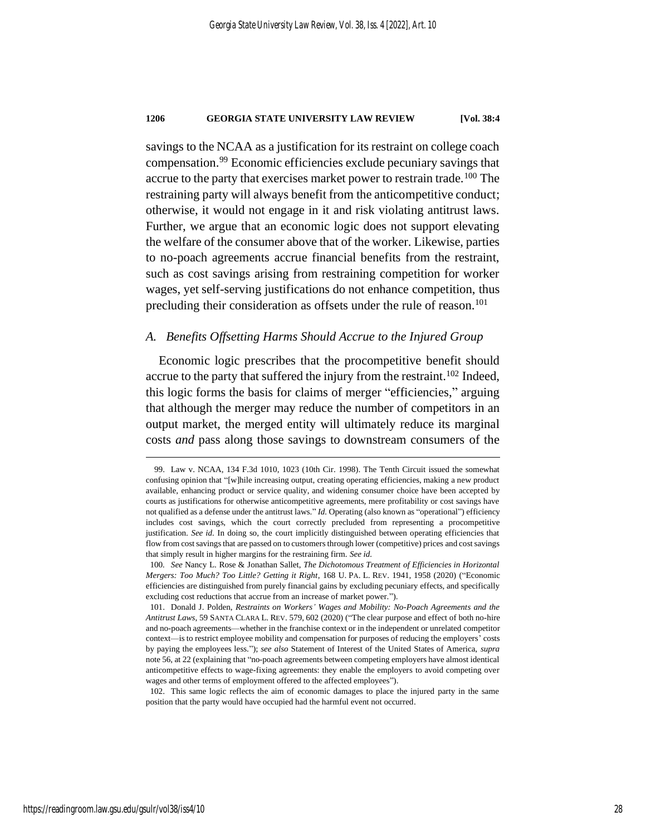savings to the NCAA as a justification for its restraint on college coach compensation.<sup>99</sup> Economic efficiencies exclude pecuniary savings that accrue to the party that exercises market power to restrain trade.<sup>100</sup> The restraining party will always benefit from the anticompetitive conduct; otherwise, it would not engage in it and risk violating antitrust laws. Further, we argue that an economic logic does not support elevating the welfare of the consumer above that of the worker. Likewise, parties to no-poach agreements accrue financial benefits from the restraint, such as cost savings arising from restraining competition for worker wages, yet self-serving justifications do not enhance competition, thus precluding their consideration as offsets under the rule of reason. 101

### *A. Benefits Offsetting Harms Should Accrue to the Injured Group*

Economic logic prescribes that the procompetitive benefit should accrue to the party that suffered the injury from the restraint. <sup>102</sup> Indeed, this logic forms the basis for claims of merger "efficiencies," arguing that although the merger may reduce the number of competitors in an output market, the merged entity will ultimately reduce its marginal costs *and* pass along those savings to downstream consumers of the

<sup>99.</sup> Law v. NCAA, 134 F.3d 1010, 1023 (10th Cir. 1998). The Tenth Circuit issued the somewhat confusing opinion that "[w]hile increasing output, creating operating efficiencies, making a new product available, enhancing product or service quality, and widening consumer choice have been accepted by courts as justifications for otherwise anticompetitive agreements, mere profitability or cost savings have not qualified as a defense under the antitrust laws." *Id.* Operating (also known as "operational") efficiency includes cost savings, which the court correctly precluded from representing a procompetitive justification. *See id.* In doing so, the court implicitly distinguished between operating efficiencies that flow from cost savings that are passed on to customers through lower (competitive) prices and cost savings that simply result in higher margins for the restraining firm. *See id.*

<sup>100</sup>*. See* Nancy L. Rose & Jonathan Sallet, *The Dichotomous Treatment of Efficiencies in Horizontal Mergers: Too Much? Too Little? Getting it Right*, 168 U. PA. L. REV. 1941, 1958 (2020) ("Economic efficiencies are distinguished from purely financial gains by excluding pecuniary effects, and specifically excluding cost reductions that accrue from an increase of market power.").

<sup>101.</sup> Donald J. Polden, *Restraints on Workers' Wages and Mobility: No-Poach Agreements and the Antitrust Laws*, 59 SANTA CLARA L. REV. 579, 602 (2020) ("The clear purpose and effect of both no-hire and no-poach agreements—whether in the franchise context or in the independent or unrelated competitor context—is to restrict employee mobility and compensation for purposes of reducing the employers' costs by paying the employees less."); *see also* Statement of Interest of the United States of America, *supra* not[e 56,](#page-17-0) at 22 (explaining that "no-poach agreements between competing employers have almost identical anticompetitive effects to wage-fixing agreements: they enable the employers to avoid competing over wages and other terms of employment offered to the affected employees").

<sup>102.</sup> This same logic reflects the aim of economic damages to place the injured party in the same position that the party would have occupied had the harmful event not occurred.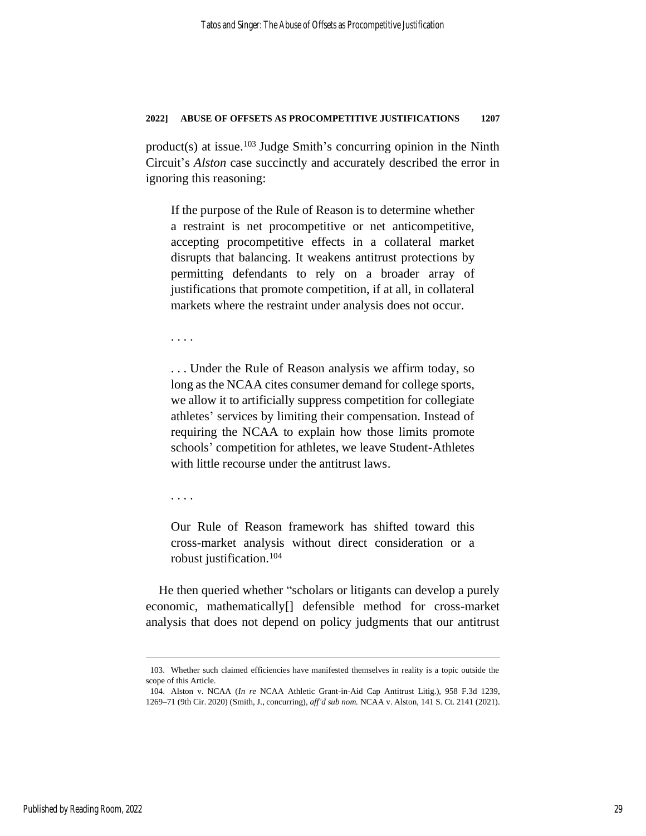product(s) at issue. <sup>103</sup> Judge Smith's concurring opinion in the Ninth Circuit's *Alston* case succinctly and accurately described the error in ignoring this reasoning:

If the purpose of the Rule of Reason is to determine whether a restraint is net procompetitive or net anticompetitive, accepting procompetitive effects in a collateral market disrupts that balancing. It weakens antitrust protections by permitting defendants to rely on a broader array of justifications that promote competition, if at all, in collateral markets where the restraint under analysis does not occur.

. . . .

. . . Under the Rule of Reason analysis we affirm today, so long as the NCAA cites consumer demand for college sports, we allow it to artificially suppress competition for collegiate athletes' services by limiting their compensation. Instead of requiring the NCAA to explain how those limits promote schools' competition for athletes, we leave Student-Athletes with little recourse under the antitrust laws.

. . . .

Our Rule of Reason framework has shifted toward this cross-market analysis without direct consideration or a robust justification.<sup>104</sup>

He then queried whether "scholars or litigants can develop a purely economic, mathematically[] defensible method for cross-market analysis that does not depend on policy judgments that our antitrust

<sup>103.</sup> Whether such claimed efficiencies have manifested themselves in reality is a topic outside the scope of this Article.

<sup>104.</sup> Alston v. NCAA (*In re* NCAA Athletic Grant-in-Aid Cap Antitrust Litig.), 958 F.3d 1239, 1269–71 (9th Cir. 2020) (Smith, J., concurring), *aff'd sub nom.* NCAA v. Alston, 141 S. Ct. 2141 (2021).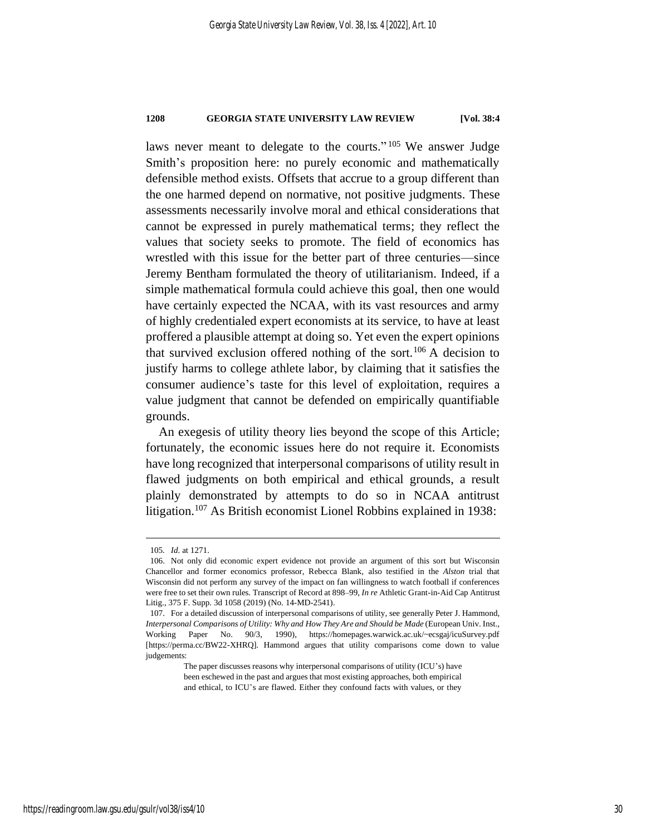laws never meant to delegate to the courts."<sup>105</sup> We answer Judge Smith's proposition here: no purely economic and mathematically defensible method exists. Offsets that accrue to a group different than the one harmed depend on normative, not positive judgments. These assessments necessarily involve moral and ethical considerations that cannot be expressed in purely mathematical terms; they reflect the values that society seeks to promote. The field of economics has wrestled with this issue for the better part of three centuries—since Jeremy Bentham formulated the theory of utilitarianism. Indeed, if a simple mathematical formula could achieve this goal, then one would have certainly expected the NCAA, with its vast resources and army of highly credentialed expert economists at its service, to have at least proffered a plausible attempt at doing so. Yet even the expert opinions that survived exclusion offered nothing of the sort.<sup>106</sup> A decision to justify harms to college athlete labor, by claiming that it satisfies the consumer audience's taste for this level of exploitation, requires a value judgment that cannot be defended on empirically quantifiable grounds.

An exegesis of utility theory lies beyond the scope of this Article; fortunately, the economic issues here do not require it. Economists have long recognized that interpersonal comparisons of utility result in flawed judgments on both empirical and ethical grounds, a result plainly demonstrated by attempts to do so in NCAA antitrust litigation.<sup>107</sup> As British economist Lionel Robbins explained in 1938:

<sup>105</sup>*. Id.* at 1271.

<sup>106.</sup> Not only did economic expert evidence not provide an argument of this sort but Wisconsin Chancellor and former economics professor, Rebecca Blank, also testified in the *Alston* trial that Wisconsin did not perform any survey of the impact on fan willingness to watch football if conferences were free to set their own rules. Transcript of Record at 898–99, *In re* Athletic Grant-in-Aid Cap Antitrust Litig., 375 F. Supp. 3d 1058 (2019) (No. 14-MD-2541).

<sup>107.</sup> For a detailed discussion of interpersonal comparisons of utility, see generally Peter J. Hammond, *Interpersonal Comparisons of Utility: Why and How They Are and Should be Made* (European Univ. Inst., Working Paper No. 90/3, 1990), https://homepages.warwick.ac.uk/~ecsgaj/icuSurvey.pdf [https://perma.cc/BW22-XHRQ]. Hammond argues that utility comparisons come down to value judgements:

The paper discusses reasons why interpersonal comparisons of utility (ICU's) have been eschewed in the past and argues that most existing approaches, both empirical and ethical, to ICU's are flawed. Either they confound facts with values, or they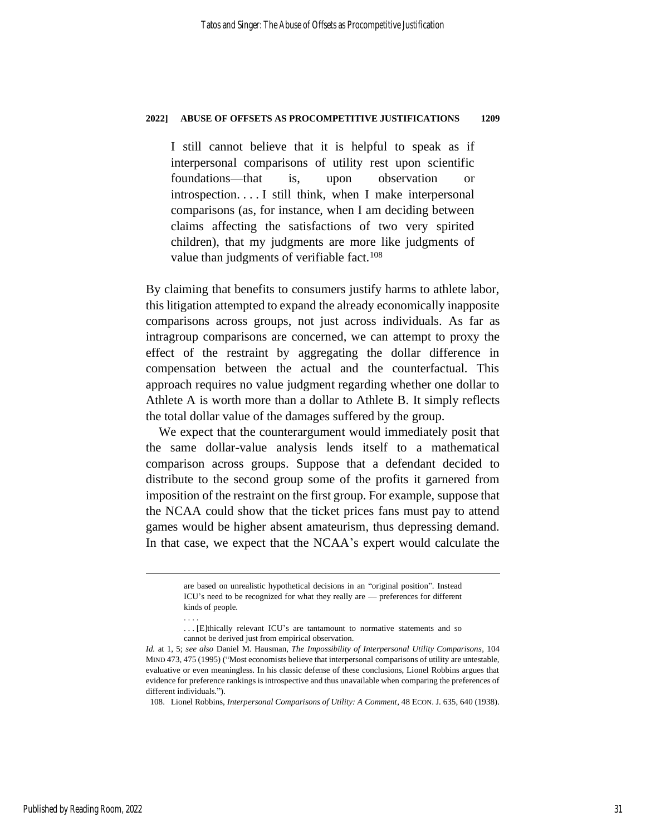I still cannot believe that it is helpful to speak as if interpersonal comparisons of utility rest upon scientific foundations—that is, upon observation or introspection. . . . I still think, when I make interpersonal comparisons (as, for instance, when I am deciding between claims affecting the satisfactions of two very spirited children), that my judgments are more like judgments of value than judgments of verifiable fact. $108$ 

By claiming that benefits to consumers justify harms to athlete labor, this litigation attempted to expand the already economically inapposite comparisons across groups, not just across individuals. As far as intragroup comparisons are concerned, we can attempt to proxy the effect of the restraint by aggregating the dollar difference in compensation between the actual and the counterfactual. This approach requires no value judgment regarding whether one dollar to Athlete A is worth more than a dollar to Athlete B. It simply reflects the total dollar value of the damages suffered by the group.

We expect that the counterargument would immediately posit that the same dollar-value analysis lends itself to a mathematical comparison across groups. Suppose that a defendant decided to distribute to the second group some of the profits it garnered from imposition of the restraint on the first group. For example, suppose that the NCAA could show that the ticket prices fans must pay to attend games would be higher absent amateurism, thus depressing demand. In that case, we expect that the NCAA's expert would calculate the

. . . .

are based on unrealistic hypothetical decisions in an "original position". Instead ICU's need to be recognized for what they really are — preferences for different kinds of people.

<sup>.</sup> . . [E]thically relevant ICU's are tantamount to normative statements and so cannot be derived just from empirical observation.

*Id.* at 1, 5; *see also* Daniel M. Hausman, *The Impossibility of Interpersonal Utility Comparisons*, 104 MIND 473, 475 (1995) ("Most economists believe that interpersonal comparisons of utility are untestable, evaluative or even meaningless. In his classic defense of these conclusions, Lionel Robbins argues that evidence for preference rankings is introspective and thus unavailable when comparing the preferences of different individuals.").

<sup>108.</sup> Lionel Robbins, *Interpersonal Comparisons of Utility: A Comment*, 48 ECON. J. 635, 640 (1938).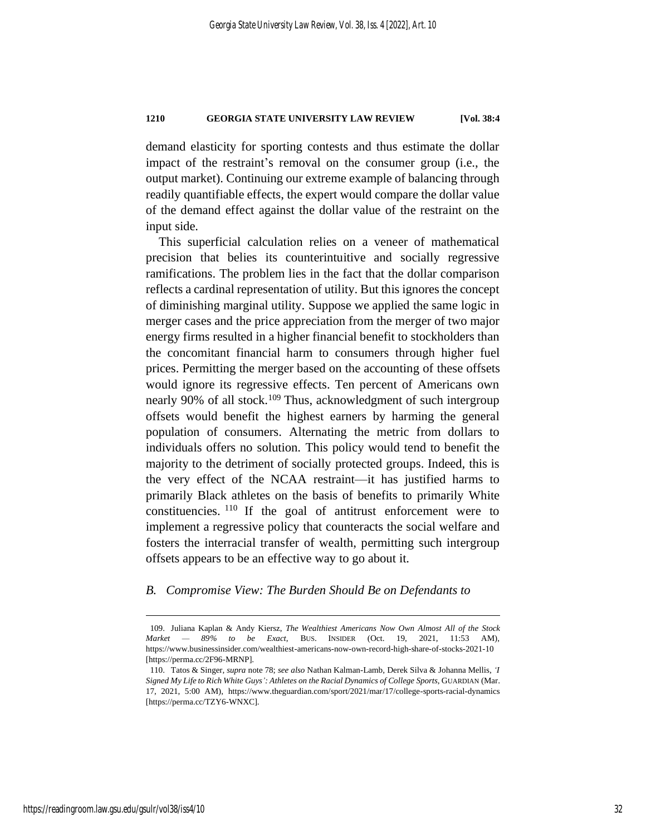demand elasticity for sporting contests and thus estimate the dollar impact of the restraint's removal on the consumer group (i.e., the output market). Continuing our extreme example of balancing through readily quantifiable effects, the expert would compare the dollar value of the demand effect against the dollar value of the restraint on the input side.

This superficial calculation relies on a veneer of mathematical precision that belies its counterintuitive and socially regressive ramifications. The problem lies in the fact that the dollar comparison reflects a cardinal representation of utility. But this ignores the concept of diminishing marginal utility. Suppose we applied the same logic in merger cases and the price appreciation from the merger of two major energy firms resulted in a higher financial benefit to stockholders than the concomitant financial harm to consumers through higher fuel prices. Permitting the merger based on the accounting of these offsets would ignore its regressive effects. Ten percent of Americans own nearly 90% of all stock.<sup>109</sup> Thus, acknowledgment of such intergroup offsets would benefit the highest earners by harming the general population of consumers. Alternating the metric from dollars to individuals offers no solution. This policy would tend to benefit the majority to the detriment of socially protected groups. Indeed, this is the very effect of the NCAA restraint—it has justified harms to primarily Black athletes on the basis of benefits to primarily White constituencies. <sup>110</sup> If the goal of antitrust enforcement were to implement a regressive policy that counteracts the social welfare and fosters the interracial transfer of wealth, permitting such intergroup offsets appears to be an effective way to go about it.

## *B. Compromise View: The Burden Should Be on Defendants to*

<sup>109.</sup> Juliana Kaplan & Andy Kiersz, *The Wealthiest Americans Now Own Almost All of the Stock Market — 89% to be Exact*, BUS. INSIDER (Oct. 19, 2021, 11:53 AM), https://www.businessinsider.com/wealthiest-americans-now-own-record-high-share-of-stocks-2021-10 [https://perma.cc/2F96-MRNP].

<sup>110.</sup> Tatos & Singer, *supra* not[e 78;](#page-23-0) *see also* Nathan Kalman-Lamb, Derek Silva & Johanna Mellis, *'I Signed My Life to Rich White Guys': Athletes on the Racial Dynamics of College Sports*, GUARDIAN (Mar. 17, 2021, 5:00 AM), https://www.theguardian.com/sport/2021/mar/17/college-sports-racial-dynamics [https://perma.cc/TZY6-WNXC].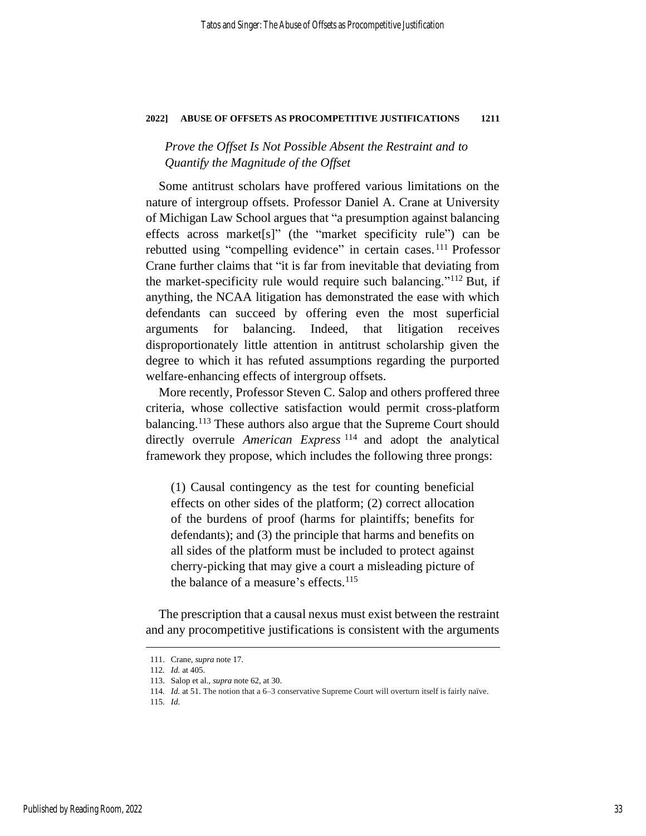*Prove the Offset Is Not Possible Absent the Restraint and to Quantify the Magnitude of the Offset*

Some antitrust scholars have proffered various limitations on the nature of intergroup offsets. Professor Daniel A. Crane at University of Michigan Law School argues that "a presumption against balancing effects across market[s]" (the "market specificity rule") can be rebutted using "compelling evidence" in certain cases.<sup>111</sup> Professor Crane further claims that "it is far from inevitable that deviating from the market-specificity rule would require such balancing." <sup>112</sup> But, if anything, the NCAA litigation has demonstrated the ease with which defendants can succeed by offering even the most superficial arguments for balancing. Indeed, that litigation receives disproportionately little attention in antitrust scholarship given the degree to which it has refuted assumptions regarding the purported welfare-enhancing effects of intergroup offsets.

More recently, Professor Steven C. Salop and others proffered three criteria, whose collective satisfaction would permit cross-platform balancing.<sup>113</sup> These authors also argue that the Supreme Court should directly overrule *American Express* <sup>114</sup> and adopt the analytical framework they propose, which includes the following three prongs:

(1) Causal contingency as the test for counting beneficial effects on other sides of the platform; (2) correct allocation of the burdens of proof (harms for plaintiffs; benefits for defendants); and (3) the principle that harms and benefits on all sides of the platform must be included to protect against cherry-picking that may give a court a misleading picture of the balance of a measure's effects. $115$ 

The prescription that a causal nexus must exist between the restraint and any procompetitive justifications is consistent with the arguments

<sup>111.</sup> Crane, *supra* note [17.](#page-8-1)

<sup>112</sup>*. Id.* at 405.

<sup>113.</sup> Salop et al., *supra* note [62,](#page-20-0) at 30.

<sup>114</sup>*. Id.* at 51. The notion that a 6–3 conservative Supreme Court will overturn itself is fairly naïve.

<sup>115</sup>*. Id.*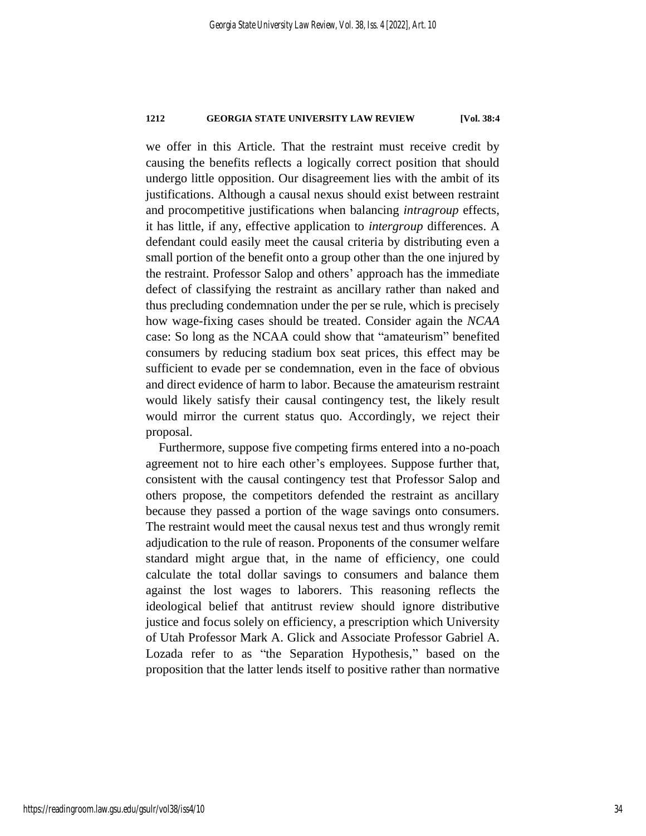we offer in this Article. That the restraint must receive credit by causing the benefits reflects a logically correct position that should undergo little opposition. Our disagreement lies with the ambit of its justifications. Although a causal nexus should exist between restraint and procompetitive justifications when balancing *intragroup* effects, it has little, if any, effective application to *intergroup* differences. A defendant could easily meet the causal criteria by distributing even a small portion of the benefit onto a group other than the one injured by the restraint. Professor Salop and others' approach has the immediate defect of classifying the restraint as ancillary rather than naked and thus precluding condemnation under the per se rule, which is precisely how wage-fixing cases should be treated. Consider again the *NCAA* case: So long as the NCAA could show that "amateurism" benefited consumers by reducing stadium box seat prices, this effect may be sufficient to evade per se condemnation, even in the face of obvious and direct evidence of harm to labor. Because the amateurism restraint would likely satisfy their causal contingency test, the likely result would mirror the current status quo. Accordingly, we reject their proposal.

Furthermore, suppose five competing firms entered into a no-poach agreement not to hire each other's employees. Suppose further that, consistent with the causal contingency test that Professor Salop and others propose, the competitors defended the restraint as ancillary because they passed a portion of the wage savings onto consumers. The restraint would meet the causal nexus test and thus wrongly remit adjudication to the rule of reason. Proponents of the consumer welfare standard might argue that, in the name of efficiency, one could calculate the total dollar savings to consumers and balance them against the lost wages to laborers. This reasoning reflects the ideological belief that antitrust review should ignore distributive justice and focus solely on efficiency, a prescription which University of Utah Professor Mark A. Glick and Associate Professor Gabriel A. Lozada refer to as "the Separation Hypothesis," based on the proposition that the latter lends itself to positive rather than normative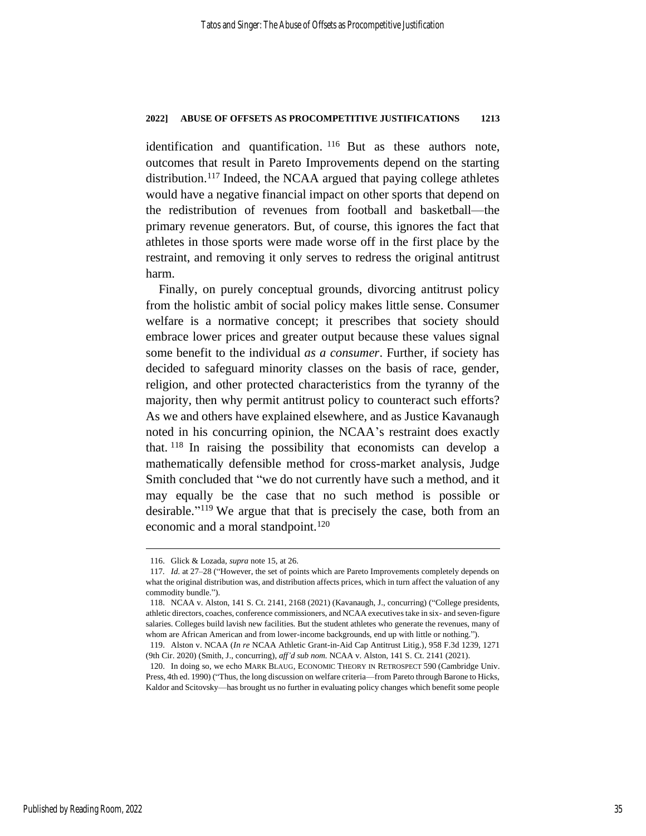identification and quantification. <sup>116</sup> But as these authors note, outcomes that result in Pareto Improvements depend on the starting distribution.<sup>117</sup> Indeed, the NCAA argued that paying college athletes would have a negative financial impact on other sports that depend on the redistribution of revenues from football and basketball—the primary revenue generators. But, of course, this ignores the fact that athletes in those sports were made worse off in the first place by the restraint, and removing it only serves to redress the original antitrust harm.

Finally, on purely conceptual grounds, divorcing antitrust policy from the holistic ambit of social policy makes little sense. Consumer welfare is a normative concept; it prescribes that society should embrace lower prices and greater output because these values signal some benefit to the individual *as a consumer*. Further, if society has decided to safeguard minority classes on the basis of race, gender, religion, and other protected characteristics from the tyranny of the majority, then why permit antitrust policy to counteract such efforts? As we and others have explained elsewhere, and as Justice Kavanaugh noted in his concurring opinion, the NCAA's restraint does exactly that. <sup>118</sup> In raising the possibility that economists can develop a mathematically defensible method for cross-market analysis, Judge Smith concluded that "we do not currently have such a method, and it may equally be the case that no such method is possible or desirable." <sup>119</sup> We argue that that is precisely the case, both from an economic and a moral standpoint.<sup>120</sup>

<sup>116.</sup> Glick & Lozada, *supra* not[e 15,](#page-7-0) at 26.

<sup>117</sup>*. Id.* at 27–28 ("However, the set of points which are Pareto Improvements completely depends on what the original distribution was, and distribution affects prices, which in turn affect the valuation of any commodity bundle.").

<sup>118.</sup> NCAA v. Alston, 141 S. Ct. 2141, 2168 (2021) (Kavanaugh, J., concurring) ("College presidents, athletic directors, coaches, conference commissioners, and NCAA executives take in six- and seven-figure salaries. Colleges build lavish new facilities. But the student athletes who generate the revenues, many of whom are African American and from lower-income backgrounds, end up with little or nothing.").

<sup>119.</sup> Alston v. NCAA (*In re* NCAA Athletic Grant-in-Aid Cap Antitrust Litig.), 958 F.3d 1239, 1271 (9th Cir. 2020) (Smith, J., concurring), *aff'd sub nom.* NCAA v. Alston, 141 S. Ct. 2141 (2021).

<sup>120.</sup> In doing so, we echo MARK BLAUG, ECONOMIC THEORY IN RETROSPECT 590 (Cambridge Univ. Press, 4th ed. 1990) ("Thus, the long discussion on welfare criteria—from Pareto through Barone to Hicks, Kaldor and Scitovsky—has brought us no further in evaluating policy changes which benefit some people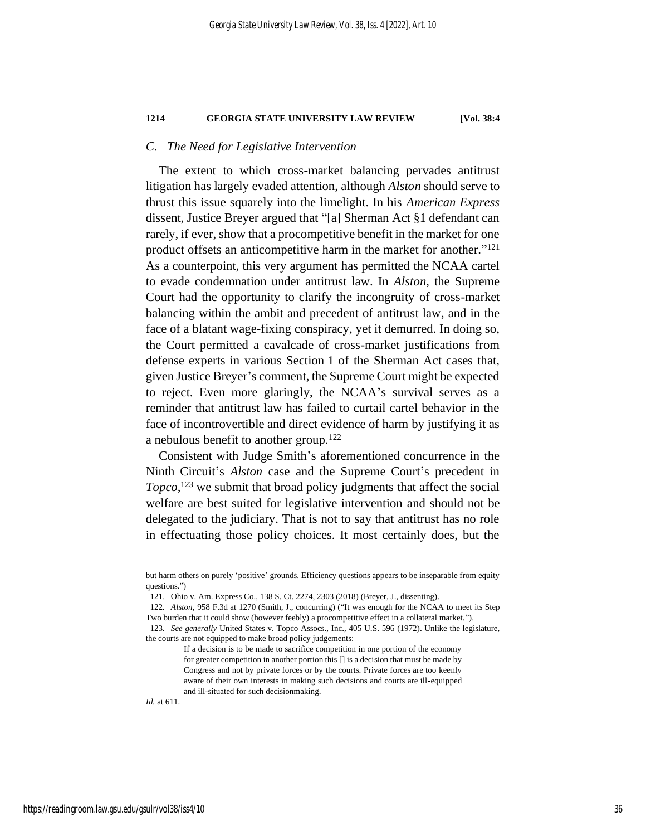## *C. The Need for Legislative Intervention*

The extent to which cross-market balancing pervades antitrust litigation has largely evaded attention, although *Alston* should serve to thrust this issue squarely into the limelight. In his *American Express* dissent, Justice Breyer argued that "[a] Sherman Act §1 defendant can rarely, if ever, show that a procompetitive benefit in the market for one product offsets an anticompetitive harm in the market for another."<sup>121</sup> As a counterpoint, this very argument has permitted the NCAA cartel to evade condemnation under antitrust law. In *Alston*, the Supreme Court had the opportunity to clarify the incongruity of cross-market balancing within the ambit and precedent of antitrust law, and in the face of a blatant wage-fixing conspiracy, yet it demurred. In doing so, the Court permitted a cavalcade of cross-market justifications from defense experts in various Section 1 of the Sherman Act cases that, given Justice Breyer's comment, the Supreme Court might be expected to reject. Even more glaringly, the NCAA's survival serves as a reminder that antitrust law has failed to curtail cartel behavior in the face of incontrovertible and direct evidence of harm by justifying it as a nebulous benefit to another group.<sup>122</sup>

Consistent with Judge Smith's aforementioned concurrence in the Ninth Circuit's *Alston* case and the Supreme Court's precedent in *Topco*, <sup>123</sup> we submit that broad policy judgments that affect the social welfare are best suited for legislative intervention and should not be delegated to the judiciary. That is not to say that antitrust has no role in effectuating those policy choices. It most certainly does, but the

*Id.* at 611.

but harm others on purely 'positive' grounds. Efficiency questions appears to be inseparable from equity questions.")

<sup>121.</sup> Ohio v. Am. Express Co., 138 S. Ct. 2274, 2303 (2018) (Breyer, J., dissenting).

<sup>122</sup>*. Alston*, 958 F.3d at 1270 (Smith, J., concurring) ("It was enough for the NCAA to meet its Step Two burden that it could show (however feebly) a procompetitive effect in a collateral market.").

<sup>123</sup>*. See generally* United States v. Topco Assocs., Inc., 405 U.S. 596 (1972). Unlike the legislature, the courts are not equipped to make broad policy judgements:

If a decision is to be made to sacrifice competition in one portion of the economy for greater competition in another portion this [] is a decision that must be made by Congress and not by private forces or by the courts. Private forces are too keenly aware of their own interests in making such decisions and courts are ill-equipped and ill-situated for such decisionmaking.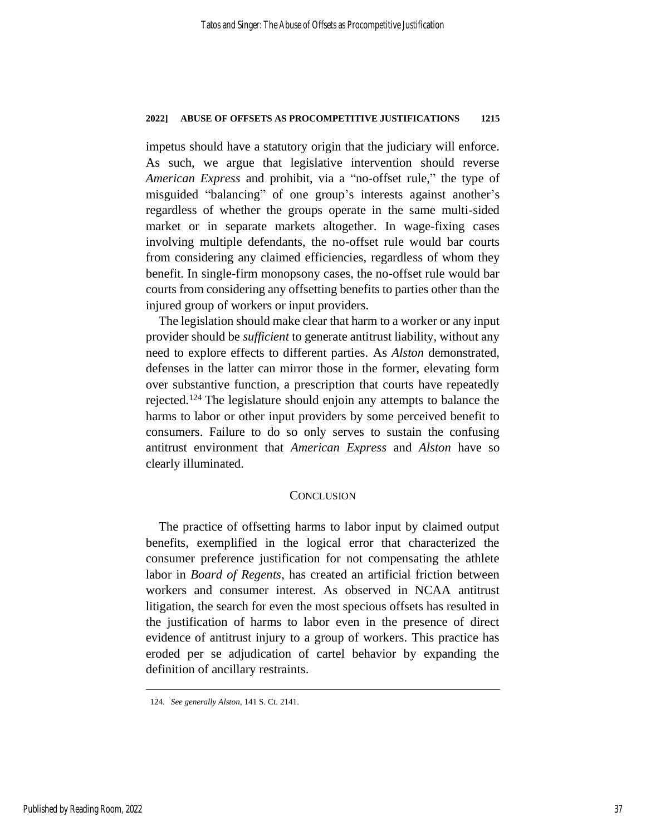impetus should have a statutory origin that the judiciary will enforce. As such, we argue that legislative intervention should reverse *American Express* and prohibit, via a "no-offset rule," the type of misguided "balancing" of one group's interests against another's regardless of whether the groups operate in the same multi-sided market or in separate markets altogether. In wage-fixing cases involving multiple defendants, the no-offset rule would bar courts from considering any claimed efficiencies, regardless of whom they benefit. In single-firm monopsony cases, the no-offset rule would bar courts from considering any offsetting benefits to parties other than the injured group of workers or input providers.

The legislation should make clear that harm to a worker or any input provider should be *sufficient* to generate antitrust liability, without any need to explore effects to different parties. As *Alston* demonstrated, defenses in the latter can mirror those in the former, elevating form over substantive function, a prescription that courts have repeatedly rejected.<sup>124</sup> The legislature should enjoin any attempts to balance the harms to labor or other input providers by some perceived benefit to consumers. Failure to do so only serves to sustain the confusing antitrust environment that *American Express* and *Alston* have so clearly illuminated.

## **CONCLUSION**

The practice of offsetting harms to labor input by claimed output benefits, exemplified in the logical error that characterized the consumer preference justification for not compensating the athlete labor in *Board of Regents*, has created an artificial friction between workers and consumer interest. As observed in NCAA antitrust litigation, the search for even the most specious offsets has resulted in the justification of harms to labor even in the presence of direct evidence of antitrust injury to a group of workers. This practice has eroded per se adjudication of cartel behavior by expanding the definition of ancillary restraints.

<sup>124</sup>*. See generally Alston*, 141 S. Ct. 2141.